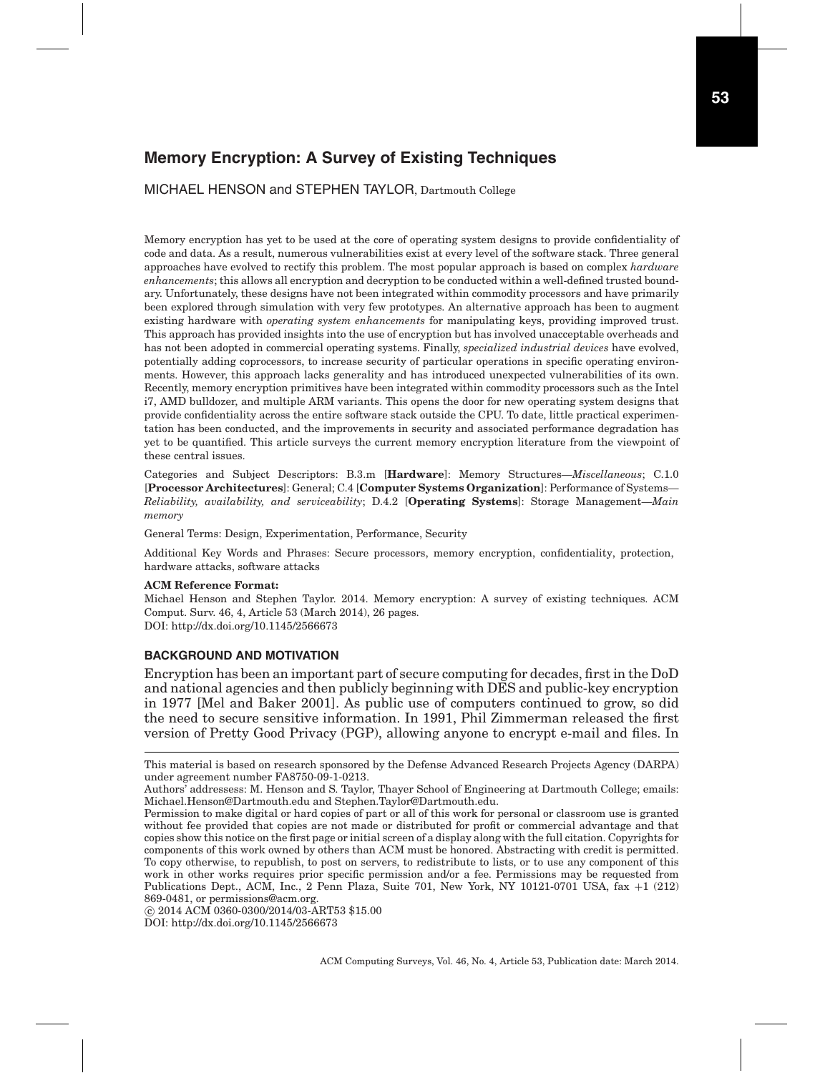# **Memory Encryption: A Survey of Existing Techniques**

MICHAEL HENSON and STEPHEN TAYLOR, Dartmouth College

Memory encryption has yet to be used at the core of operating system designs to provide confidentiality of code and data. As a result, numerous vulnerabilities exist at every level of the software stack. Three general approaches have evolved to rectify this problem. The most popular approach is based on complex *hardware enhancements*; this allows all encryption and decryption to be conducted within a well-defined trusted boundary. Unfortunately, these designs have not been integrated within commodity processors and have primarily been explored through simulation with very few prototypes. An alternative approach has been to augment existing hardware with *operating system enhancements* for manipulating keys, providing improved trust. This approach has provided insights into the use of encryption but has involved unacceptable overheads and has not been adopted in commercial operating systems. Finally, *specialized industrial devices* have evolved, potentially adding coprocessors, to increase security of particular operations in specific operating environments. However, this approach lacks generality and has introduced unexpected vulnerabilities of its own. Recently, memory encryption primitives have been integrated within commodity processors such as the Intel i7, AMD bulldozer, and multiple ARM variants. This opens the door for new operating system designs that provide confidentiality across the entire software stack outside the CPU. To date, little practical experimentation has been conducted, and the improvements in security and associated performance degradation has yet to be quantified. This article surveys the current memory encryption literature from the viewpoint of these central issues.

Categories and Subject Descriptors: B.3.m [**Hardware**]: Memory Structures—*Miscellaneous*; C.1.0 [**Processor Architectures**]: General; C.4 [**Computer Systems Organization**]: Performance of Systems— *Reliability, availability, and serviceability*; D.4.2 [**Operating Systems**]: Storage Management—*Main memory*

General Terms: Design, Experimentation, Performance, Security

Additional Key Words and Phrases: Secure processors, memory encryption, confidentiality, protection, hardware attacks, software attacks

#### **ACM Reference Format:**

Michael Henson and Stephen Taylor. 2014. Memory encryption: A survey of existing techniques. ACM Comput. Surv. 46, 4, Article 53 (March 2014), 26 pages.

DOI:<http://dx.doi.org/10.1145/2566673>

# **BACKGROUND AND MOTIVATION**

Encryption has been an important part of secure computing for decades, first in the DoD and national agencies and then publicly beginning with DES and public-key encryption in 1977 [\[Mel and Baker 2001\]](#page-24-0). As public use of computers continued to grow, so did the need to secure sensitive information. In 1991, Phil Zimmerman released the first version of Pretty Good Privacy (PGP), allowing anyone to encrypt e-mail and files. In

-c 2014 ACM 0360-0300/2014/03-ART53 \$15.00

DOI:<http://dx.doi.org/10.1145/2566673>

This material is based on research sponsored by the Defense Advanced Research Projects Agency (DARPA) under agreement number FA8750-09-1-0213.

Authors' addressess: M. Henson and S. Taylor, Thayer School of Engineering at Dartmouth College; emails: Michael.Henson@Dartmouth.edu and Stephen.Taylor@Dartmouth.edu.

Permission to make digital or hard copies of part or all of this work for personal or classroom use is granted without fee provided that copies are not made or distributed for profit or commercial advantage and that copies show this notice on the first page or initial screen of a display along with the full citation. Copyrights for components of this work owned by others than ACM must be honored. Abstracting with credit is permitted. To copy otherwise, to republish, to post on servers, to redistribute to lists, or to use any component of this work in other works requires prior specific permission and/or a fee. Permissions may be requested from Publications Dept., ACM, Inc., 2 Penn Plaza, Suite 701, New York, NY 10121-0701 USA, fax +1 (212) 869-0481, or permissions@acm.org.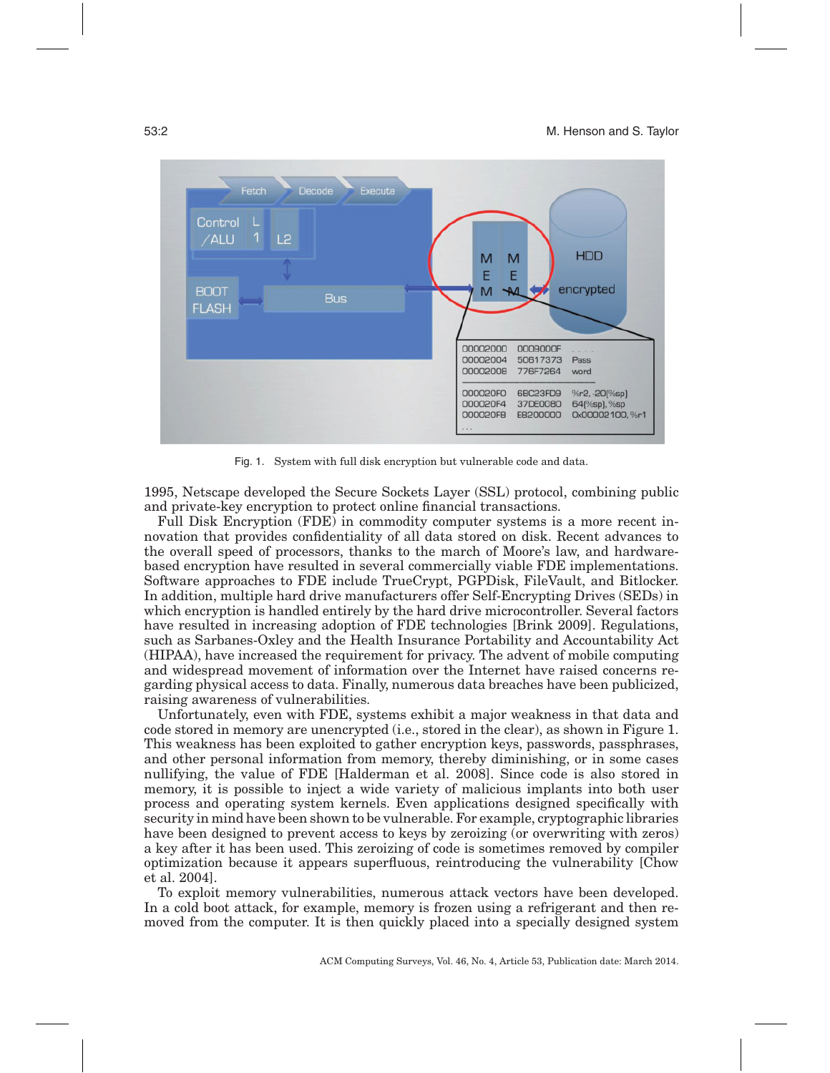<span id="page-1-0"></span>

Fig. 1. System with full disk encryption but vulnerable code and data.

1995, Netscape developed the Secure Sockets Layer (SSL) protocol, combining public and private-key encryption to protect online financial transactions.

Full Disk Encryption (FDE) in commodity computer systems is a more recent innovation that provides confidentiality of all data stored on disk. Recent advances to the overall speed of processors, thanks to the march of Moore's law, and hardwarebased encryption have resulted in several commercially viable FDE implementations. Software approaches to FDE include TrueCrypt, PGPDisk, FileVault, and Bitlocker. In addition, multiple hard drive manufacturers offer Self-Encrypting Drives (SEDs) in which encryption is handled entirely by the hard drive microcontroller. Several factors have resulted in increasing adoption of FDE technologies [\[Brink 2009\]](#page-22-0). Regulations, such as Sarbanes-Oxley and the Health Insurance Portability and Accountability Act (HIPAA), have increased the requirement for privacy. The advent of mobile computing and widespread movement of information over the Internet have raised concerns regarding physical access to data. Finally, numerous data breaches have been publicized, raising awareness of vulnerabilities.

Unfortunately, even with FDE, systems exhibit a major weakness in that data and code stored in memory are unencrypted (i.e., stored in the clear), as shown in Figure [1.](#page-1-0) This weakness has been exploited to gather encryption keys, passwords, passphrases, and other personal information from memory, thereby diminishing, or in some cases nullifying, the value of FDE [\[Halderman et al. 2008\]](#page-23-0). Since code is also stored in memory, it is possible to inject a wide variety of malicious implants into both user process and operating system kernels. Even applications designed specifically with security in mind have been shown to be vulnerable. For example, cryptographic libraries have been designed to prevent access to keys by zeroizing (or overwriting with zeros) a key after it has been used. This zeroizing of code is sometimes removed by compiler optimization because it appears superfluous, reintroducing the vulnerability [\[Chow](#page-23-1) [et al. 2004\]](#page-23-1).

To exploit memory vulnerabilities, numerous attack vectors have been developed. In a cold boot attack, for example, memory is frozen using a refrigerant and then removed from the computer. It is then quickly placed into a specially designed system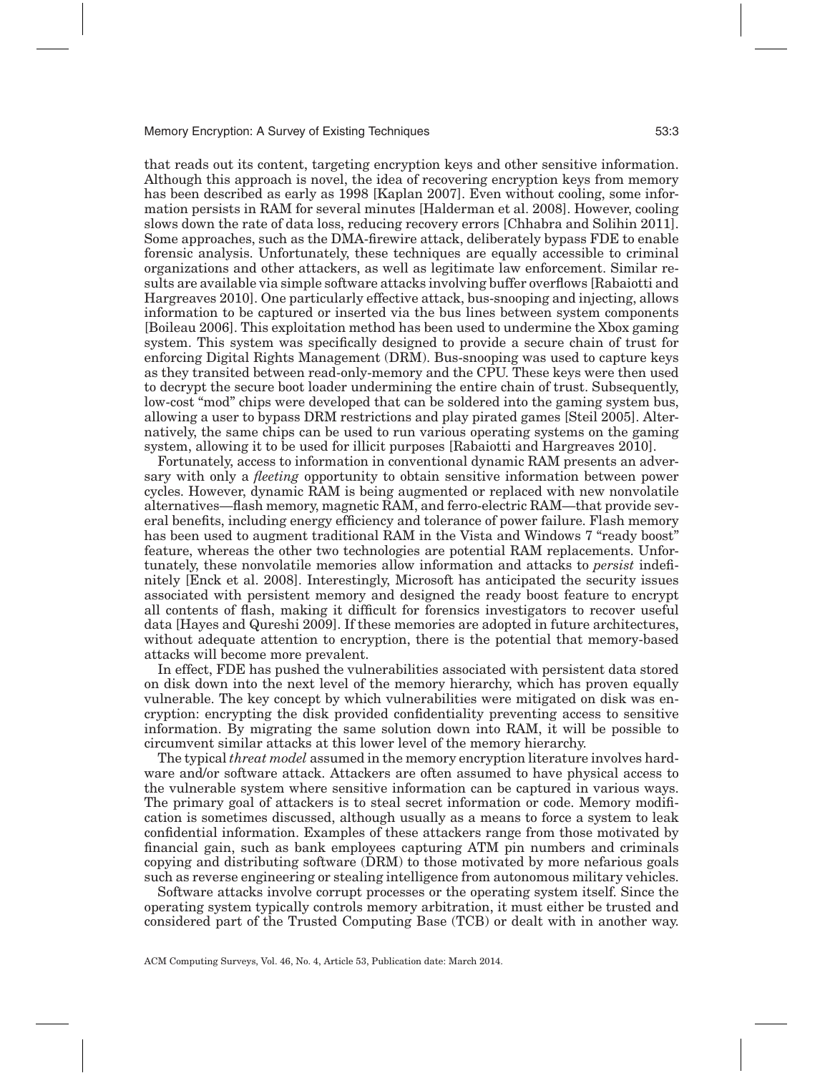#### Memory Encryption: A Survey of Existing Techniques 63:3

that reads out its content, targeting encryption keys and other sensitive information. Although this approach is novel, the idea of recovering encryption keys from memory has been described as early as 1998 [\[Kaplan 2007\]](#page-23-2). Even without cooling, some information persists in RAM for several minutes [\[Halderman et al. 2008\]](#page-23-0). However, cooling slows down the rate of data loss, reducing recovery errors [\[Chhabra and Solihin 2011\]](#page-22-1). Some approaches, such as the DMA-firewire attack, deliberately bypass FDE to enable forensic analysis. Unfortunately, these techniques are equally accessible to criminal organizations and other attackers, as well as legitimate law enforcement. Similar results are available via simple software attacks involving buffer overflows [\[Rabaiotti and](#page-24-1) [Hargreaves 2010\]](#page-24-1). One particularly effective attack, bus-snooping and injecting, allows information to be captured or inserted via the bus lines between system components [\[Boileau 2006\]](#page-22-2). This exploitation method has been used to undermine the Xbox gaming system. This system was specifically designed to provide a secure chain of trust for enforcing Digital Rights Management (DRM). Bus-snooping was used to capture keys as they transited between read-only-memory and the CPU. These keys were then used to decrypt the secure boot loader undermining the entire chain of trust. Subsequently, low-cost "mod" chips were developed that can be soldered into the gaming system bus, allowing a user to bypass DRM restrictions and play pirated games [\[Steil 2005\]](#page-24-2). Alternatively, the same chips can be used to run various operating systems on the gaming system, allowing it to be used for illicit purposes [\[Rabaiotti and Hargreaves 2010\]](#page-24-1).

Fortunately, access to information in conventional dynamic RAM presents an adversary with only a *fleeting* opportunity to obtain sensitive information between power cycles. However, dynamic RAM is being augmented or replaced with new nonvolatile alternatives—flash memory, magnetic RAM, and ferro-electric RAM—that provide several benefits, including energy efficiency and tolerance of power failure. Flash memory has been used to augment traditional RAM in the Vista and Windows 7 "ready boost" feature, whereas the other two technologies are potential RAM replacements. Unfortunately, these nonvolatile memories allow information and attacks to *persist* indefinitely [\[Enck et al. 2008\]](#page-23-3). Interestingly, Microsoft has anticipated the security issues associated with persistent memory and designed the ready boost feature to encrypt all contents of flash, making it difficult for forensics investigators to recover useful data [\[Hayes and Qureshi 2009\]](#page-23-4). If these memories are adopted in future architectures, without adequate attention to encryption, there is the potential that memory-based attacks will become more prevalent.

In effect, FDE has pushed the vulnerabilities associated with persistent data stored on disk down into the next level of the memory hierarchy, which has proven equally vulnerable. The key concept by which vulnerabilities were mitigated on disk was encryption: encrypting the disk provided confidentiality preventing access to sensitive information. By migrating the same solution down into RAM, it will be possible to circumvent similar attacks at this lower level of the memory hierarchy.

The typical *threat model* assumed in the memory encryption literature involves hardware and/or software attack. Attackers are often assumed to have physical access to the vulnerable system where sensitive information can be captured in various ways. The primary goal of attackers is to steal secret information or code. Memory modification is sometimes discussed, although usually as a means to force a system to leak confidential information. Examples of these attackers range from those motivated by financial gain, such as bank employees capturing ATM pin numbers and criminals copying and distributing software (DRM) to those motivated by more nefarious goals such as reverse engineering or stealing intelligence from autonomous military vehicles.

Software attacks involve corrupt processes or the operating system itself. Since the operating system typically controls memory arbitration, it must either be trusted and considered part of the Trusted Computing Base (TCB) or dealt with in another way.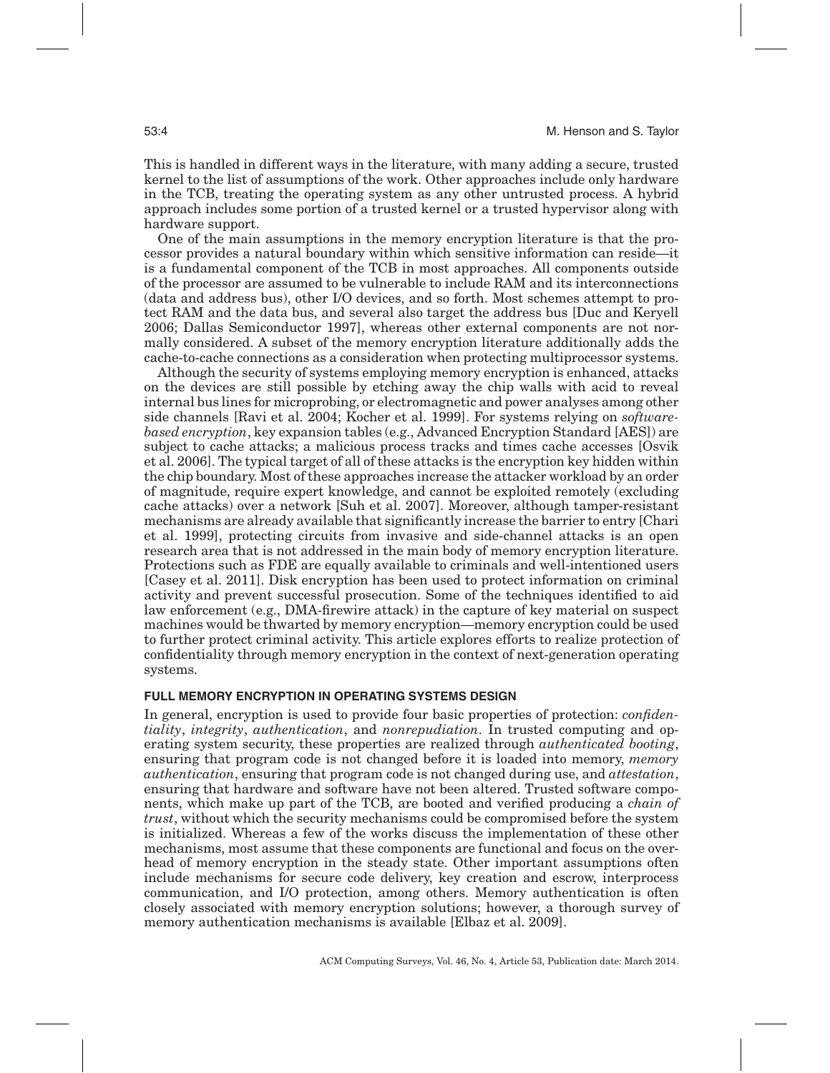This is handled in different ways in the literature, with many adding a secure, trusted kernel to the list of assumptions of the work. Other approaches include only hardware in the TCB, treating the operating system as any other untrusted process. A hybrid approach includes some portion of a trusted kernel or a trusted hypervisor along with hardware support.

One of the main assumptions in the memory encryption literature is that the processor provides a natural boundary within which sensitive information can reside—it is a fundamental component of the TCB in most approaches. All components outside of the processor are assumed to be vulnerable to include RAM and its interconnections (data and address bus), other I/O devices, and so forth. Most schemes attempt to protect RAM and the data bus, and several also target the address bus [\[Duc and Keryell](#page-23-5) [2006;](#page-23-5) [Dallas Semiconductor 1997\]](#page-23-6), whereas other external components are not normally considered. A subset of the memory encryption literature additionally adds the cache-to-cache connections as a consideration when protecting multiprocessor systems.

Although the security of systems employing memory encryption is enhanced, attacks on the devices are still possible by etching away the chip walls with acid to reveal internal bus lines for microprobing, or electromagnetic and power analyses among other side channels [\[Ravi et al. 2004;](#page-24-3) [Kocher et al. 1999\]](#page-23-7). For systems relying on *softwarebased encryption*, key expansion tables (e.g., Advanced Encryption Standard [AES]) are subject to cache attacks; a malicious process tracks and times cache accesses [\[Osvik](#page-24-4) [et al. 2006\]](#page-24-4). The typical target of all of these attacks is the encryption key hidden within the chip boundary. Most of these approaches increase the attacker workload by an order of magnitude, require expert knowledge, and cannot be exploited remotely (excluding cache attacks) over a network [\[Suh et al. 2007\]](#page-25-0). Moreover, although tamper-resistant mechanisms are already available that significantly increase the barrier to entry [\[Chari](#page-22-3) [et al. 1999\]](#page-22-3), protecting circuits from invasive and side-channel attacks is an open research area that is not addressed in the main body of memory encryption literature. Protections such as FDE are equally available to criminals and well-intentioned users [\[Casey et al. 2011\]](#page-22-4). Disk encryption has been used to protect information on criminal activity and prevent successful prosecution. Some of the techniques identified to aid law enforcement (e.g., DMA-firewire attack) in the capture of key material on suspect machines would be thwarted by memory encryption—memory encryption could be used to further protect criminal activity. This article explores efforts to realize protection of confidentiality through memory encryption in the context of next-generation operating systems.

### **FULL MEMORY ENCRYPTION IN OPERATING SYSTEMS DESIGN**

In general, encryption is used to provide four basic properties of protection: *confidentiality*, *integrity*, *authentication*, and *nonrepudiation*. In trusted computing and operating system security, these properties are realized through *authenticated booting*, ensuring that program code is not changed before it is loaded into memory, *memory authentication*, ensuring that program code is not changed during use, and *attestation*, ensuring that hardware and software have not been altered. Trusted software components, which make up part of the TCB, are booted and verified producing a *chain of trust*, without which the security mechanisms could be compromised before the system is initialized. Whereas a few of the works discuss the implementation of these other mechanisms, most assume that these components are functional and focus on the overhead of memory encryption in the steady state. Other important assumptions often include mechanisms for secure code delivery, key creation and escrow, interprocess communication, and I/O protection, among others. Memory authentication is often closely associated with memory encryption solutions; however, a thorough survey of memory authentication mechanisms is available [Elbaz et al. 2009].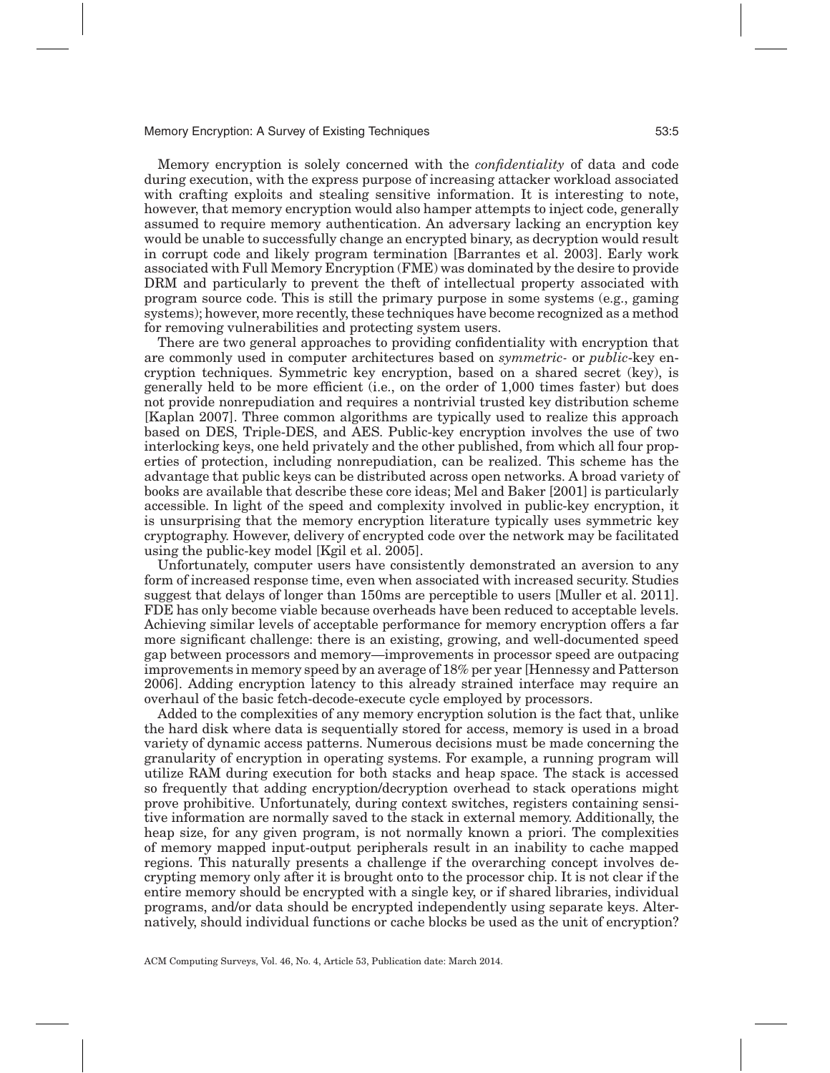#### Memory Encryption: A Survey of Existing Techniques 63:5

Memory encryption is solely concerned with the *confidentiality* of data and code during execution, with the express purpose of increasing attacker workload associated with crafting exploits and stealing sensitive information. It is interesting to note, however, that memory encryption would also hamper attempts to inject code, generally assumed to require memory authentication. An adversary lacking an encryption key would be unable to successfully change an encrypted binary, as decryption would result in corrupt code and likely program termination [\[Barrantes et al. 2003\]](#page-22-5). Early work associated with Full Memory Encryption (FME) was dominated by the desire to provide DRM and particularly to prevent the theft of intellectual property associated with program source code. This is still the primary purpose in some systems (e.g., gaming systems); however, more recently, these techniques have become recognized as a method for removing vulnerabilities and protecting system users.

There are two general approaches to providing confidentiality with encryption that are commonly used in computer architectures based on *symmetric-* or *public*-key encryption techniques. Symmetric key encryption, based on a shared secret (key), is generally held to be more efficient (i.e., on the order of 1,000 times faster) but does not provide nonrepudiation and requires a nontrivial trusted key distribution scheme [\[Kaplan 2007\]](#page-23-2). Three common algorithms are typically used to realize this approach based on DES, Triple-DES, and AES. Public-key encryption involves the use of two interlocking keys, one held privately and the other published, from which all four properties of protection, including nonrepudiation, can be realized. This scheme has the advantage that public keys can be distributed across open networks. A broad variety of books are available that describe these core ideas; [Mel and Baker \[2001\]](#page-24-0) is particularly accessible. In light of the speed and complexity involved in public-key encryption, it is unsurprising that the memory encryption literature typically uses symmetric key cryptography. However, delivery of encrypted code over the network may be facilitated using the public-key model [\[Kgil et al. 2005\]](#page-23-8).

Unfortunately, computer users have consistently demonstrated an aversion to any form of increased response time, even when associated with increased security. Studies suggest that delays of longer than 150ms are perceptible to users [\[Muller et al. 2011\]](#page-24-5). FDE has only become viable because overheads have been reduced to acceptable levels. Achieving similar levels of acceptable performance for memory encryption offers a far more significant challenge: there is an existing, growing, and well-documented speed gap between processors and memory—improvements in processor speed are outpacing improvements in memory speed by an average of 18% per year [\[Hennessy and Patterson](#page-23-9) [2006\]](#page-23-9). Adding encryption latency to this already strained interface may require an overhaul of the basic fetch-decode-execute cycle employed by processors.

Added to the complexities of any memory encryption solution is the fact that, unlike the hard disk where data is sequentially stored for access, memory is used in a broad variety of dynamic access patterns. Numerous decisions must be made concerning the granularity of encryption in operating systems. For example, a running program will utilize RAM during execution for both stacks and heap space. The stack is accessed so frequently that adding encryption/decryption overhead to stack operations might prove prohibitive. Unfortunately, during context switches, registers containing sensitive information are normally saved to the stack in external memory. Additionally, the heap size, for any given program, is not normally known a priori. The complexities of memory mapped input-output peripherals result in an inability to cache mapped regions. This naturally presents a challenge if the overarching concept involves decrypting memory only after it is brought onto to the processor chip. It is not clear if the entire memory should be encrypted with a single key, or if shared libraries, individual programs, and/or data should be encrypted independently using separate keys. Alternatively, should individual functions or cache blocks be used as the unit of encryption?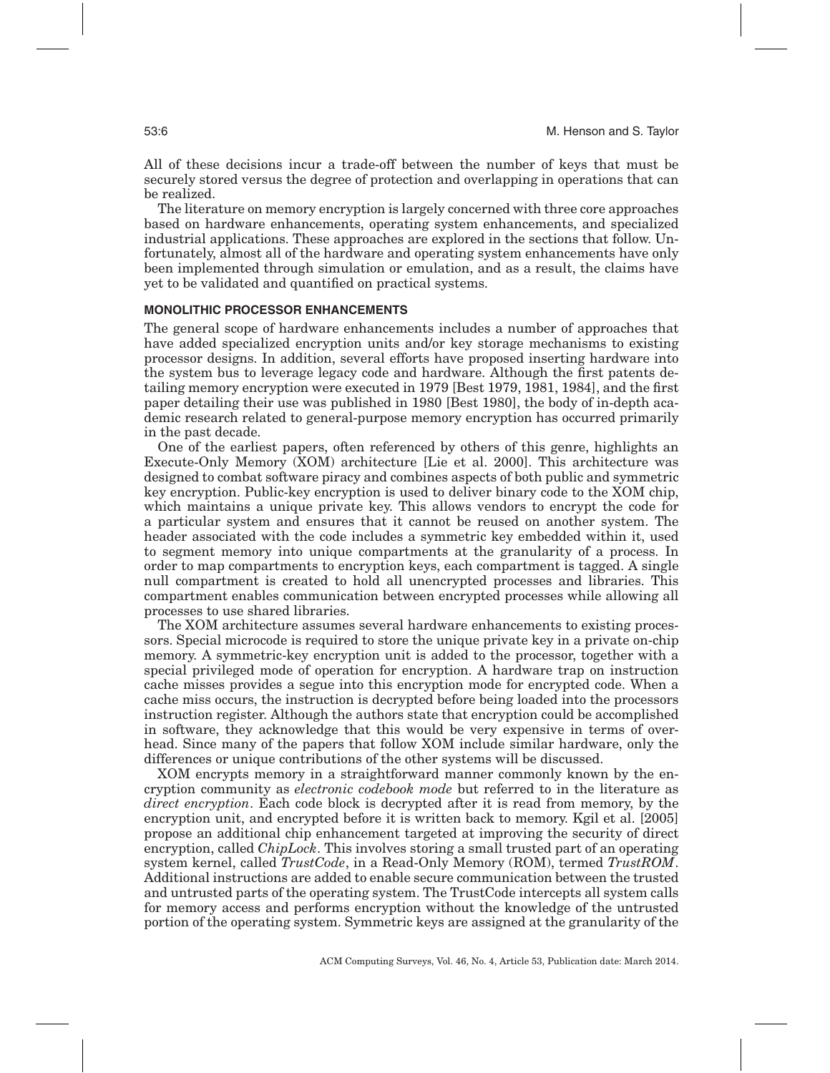All of these decisions incur a trade-off between the number of keys that must be securely stored versus the degree of protection and overlapping in operations that can be realized.

The literature on memory encryption is largely concerned with three core approaches based on hardware enhancements, operating system enhancements, and specialized industrial applications. These approaches are explored in the sections that follow. Unfortunately, almost all of the hardware and operating system enhancements have only been implemented through simulation or emulation, and as a result, the claims have yet to be validated and quantified on practical systems.

# **MONOLITHIC PROCESSOR ENHANCEMENTS**

The general scope of hardware enhancements includes a number of approaches that have added specialized encryption units and/or key storage mechanisms to existing processor designs. In addition, several efforts have proposed inserting hardware into the system bus to leverage legacy code and hardware. Although the first patents detailing memory encryption were executed in 1979 [\[Best 1979,](#page-22-6) [1981,](#page-22-7) [1984\]](#page-22-8), and the first paper detailing their use was published in 1980 [\[Best 1980\]](#page-22-9), the body of in-depth academic research related to general-purpose memory encryption has occurred primarily in the past decade.

One of the earliest papers, often referenced by others of this genre, highlights an Execute-Only Memory (XOM) architecture [\[Lie et al. 2000\]](#page-24-6). This architecture was designed to combat software piracy and combines aspects of both public and symmetric key encryption. Public-key encryption is used to deliver binary code to the XOM chip, which maintains a unique private key. This allows vendors to encrypt the code for a particular system and ensures that it cannot be reused on another system. The header associated with the code includes a symmetric key embedded within it, used to segment memory into unique compartments at the granularity of a process. In order to map compartments to encryption keys, each compartment is tagged. A single null compartment is created to hold all unencrypted processes and libraries. This compartment enables communication between encrypted processes while allowing all processes to use shared libraries.

The XOM architecture assumes several hardware enhancements to existing processors. Special microcode is required to store the unique private key in a private on-chip memory. A symmetric-key encryption unit is added to the processor, together with a special privileged mode of operation for encryption. A hardware trap on instruction cache misses provides a segue into this encryption mode for encrypted code. When a cache miss occurs, the instruction is decrypted before being loaded into the processors instruction register. Although the authors state that encryption could be accomplished in software, they acknowledge that this would be very expensive in terms of overhead. Since many of the papers that follow XOM include similar hardware, only the differences or unique contributions of the other systems will be discussed.

XOM encrypts memory in a straightforward manner commonly known by the encryption community as *electronic codebook mode* but referred to in the literature as *direct encryption*. Each code block is decrypted after it is read from memory, by the encryption unit, and encrypted before it is written back to memory. [Kgil et al. \[2005\]](#page-23-8) propose an additional chip enhancement targeted at improving the security of direct encryption, called *ChipLock*. This involves storing a small trusted part of an operating system kernel, called *TrustCode*, in a Read-Only Memory (ROM), termed *TrustROM*. Additional instructions are added to enable secure communication between the trusted and untrusted parts of the operating system. The TrustCode intercepts all system calls for memory access and performs encryption without the knowledge of the untrusted portion of the operating system. Symmetric keys are assigned at the granularity of the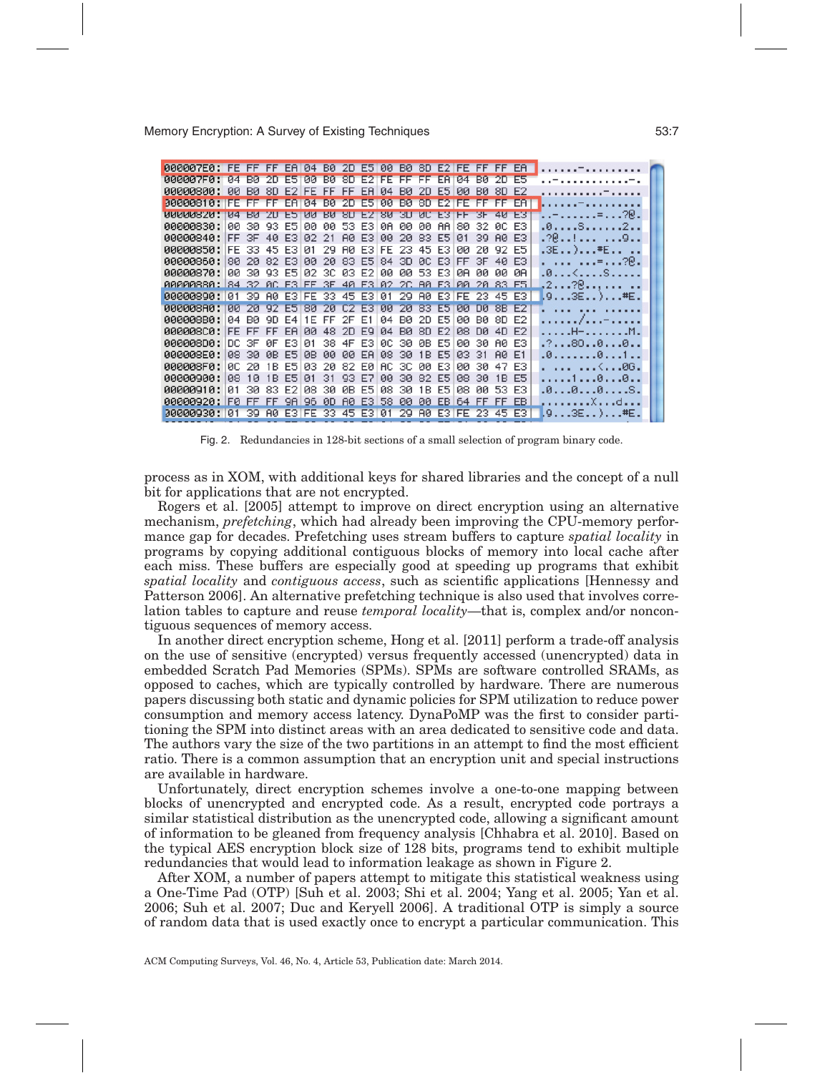<span id="page-6-0"></span>

| 000007E0: FE FF FF EA 04 |     |     |           |             |          |           |           | B0 2D E5 00 B0 8D |       |           |           |           | E2 FE FF FF EA  |     |       |                 | . <sup>. .</sup>                |
|--------------------------|-----|-----|-----------|-------------|----------|-----------|-----------|-------------------|-------|-----------|-----------|-----------|-----------------|-----|-------|-----------------|---------------------------------|
| <b>000007F0:</b>         | n4  | RЙ  |           | E5.         | ии       | <b>BØ</b> | 80        |                   | E2 FF | FF        | FF        | FA        | P <sub>14</sub> | RЙ  | 2D E5 |                 | . . <del>.</del> <del>.</del> . |
| <u> идаалаа:</u>         | ий  | RЙ  | 80.       |             | E2 FE FE |           | <b>FF</b> | ER 04             |       | RЙ        | 2Π        | E5.       | -00             | RЙ  | 8D E2 |                 | . <sup>. .</sup>                |
| 30000810: IFE            |     | FF  | FF        | EAT         | 04       | BØ.       | 2D.       | E5.               | -66   | <b>RØ</b> | 80        | E2        | FE              | FF  | FF.   | EA <sub>1</sub> | <b><sup>-</sup></b>             |
| иииии87и :               | И4  |     |           | ь5.         | ии       | ни        | 8U        | FZ.               | жи    | 39 I      |           | H.S.      |                 |     | 4И.   | <b>FM</b>       | . .– = ?0 .                     |
| <u> ийийиззи:</u>        | ЙЙ  | зя  | 93.       | F5.         | ЙЙ       | ЙЙ        | 53.       | E3.               | ЙA    | ЙЙ        | ий        | <b>AA</b> | 80              | 32  | ØC.   | F3              | .0. 2                           |
| 00000840:                | FF  | 3E. | 4Й        | E3.         | -82      | 21        | AЙ        | F3                | ЙЙ    | 2Й        | 83        | F5        | Й1              | 39  | AЙ.   | F3              | $.28! \ldots  9$                |
| 00000850:                | FF  | 33  | 45        | F3.         | Й1       | 29        | AЙ        | FЗ                | FE.   | 23        | 45        | FЗ        | 00              | 2И  | 92.   | E5              | .3E)#E                          |
| <b>ЙЙЙЙЯЗБА:</b>         | 80  | 2И  | 82        | E3          | ии       | 2Й        | 83.       | F5.               | 84    | ЗD        | ЙC.       | FЗ        | FF              | ЗF  | 40    | E3              | .  =?⊌.                         |
| <b>ЙЙЙЙЯЗЗЯ:</b>         | ЙЙ. | зя  | 93.       | F5.         | -02      | 30.       | ЙЗ        | F2                | ЙЙ.   | ий        | 53        | FЗ        | ЙA              | ЙЙ  | ЙЙ    | ЙA              | .0. < S                         |
| РАЙМАЯ В                 | 84  | -32 |           | AC ESIEE SE |          |           |           | 40 F3 02          |       | 20        | <b>АЙ</b> | E3 MA     |                 | 20. | 83 F5 |                 | .2?8                            |
| 80000890:                | 101 | 39  | <b>A</b>  | E3.         | FF.      | 33        | 45        | E3                | $Q_1$ | 29        | AЙ        | F3        | FF              | 23  | 45    | E3              | .93E)#E.                        |
| RAAAASAA:                | ЙЙ  | 20  | 92        | вы          | 80       | 2И        | C2        | на                | ии    | 20        | 83        | F5        | ЙЙ              | пи  | 88.   | F2              | $\cdots$                        |
| AAAAASBA:                | Й4  | RЙ  | 90.       | F4          | 1 F      | FF        | 2E        | E1                | Й4    | RЙ        | 2Π        | F5        | ЙЙ              | RЙ  | 80.   | F2              | . / <sup>.</sup>                |
| AAAAASCA:                | FF. | FF  | FF        | FA          | ЙЙ       | 48        | 2Π        | Fq                | $Q$ 4 | RЙ        | 80        | F2        | Й8              | пи  | 4Π.   | E <sub>2</sub>  | . H – M .                       |
| AAAAASDA:                | nc  | 3E  | иЕ        | F3.         | Й1       | 38        | 4F        | F3.               | ЙC.   | зя        | ØВ        | F5        | ЙЙ              | зя  | ЯЙ    | F3              | 3.3.80.00.00.00.00              |
| <b>ЙЙЙЙЯЕЙ:</b>          | Й8. | зи  | ЙR        | F5          | ЙR       | ЙЙ        | ЙЙ        | FA.               | -88   | 30        | 1 R       | F5        | Й3              | 31  | AЙ    | F1              | . 0. 0 1                        |
| <b>000008F0:</b>         | ЙC. | 2Й  | IB.       | F5          | Й3       | 2Й        | 82        | FЙ                | ЯC.   | 30        | ØЙ        | FЗ        | ØЙ              | зи  | 47    | FЗ              | .  <06.                         |
| <b>ийийнай :</b>         | Й8. | 1Й  | IB.       | F5          | Й1       | 31        | 93        | E7                | ЙЙ    | зя        |           | F5        | Й8              | зя  | IB.   | E5              | . 1 0 0                         |
| <b>ИЙЙИЙ 10:</b>         | Й1  | зи  | 83        | F2.         | - Й8     | зя        | ЙR        | F5.               | -88   | зя        | в         | F5.       | øя              | ЙЙ  | 53.   | F3              | .0.0.0.S .                      |
| 00000920:1               | IFЙ | FF  | FF        | 98          | 96       | ЙD        | AЙ        | F3.               | 58    | ØЙ        | ЙЙ        | FR.       | 64              |     | FF.   | EB.             | . X d                           |
| 30000930:                | ø   | 39  | <b>RØ</b> | E3          | FE.      | -33       | 45        | E3                | -01   | 29        | RЙ        | EЗ        | FE              | 23  | 45    | E3              | .93E)#E.                        |
|                          |     |     |           |             |          |           |           |                   |       |           |           |           |                 |     |       |                 |                                 |

Fig. 2. Redundancies in 128-bit sections of a small selection of program binary code.

process as in XOM, with additional keys for shared libraries and the concept of a null bit for applications that are not encrypted.

[Rogers et al. \[2005\]](#page-24-7) attempt to improve on direct encryption using an alternative mechanism, *prefetching*, which had already been improving the CPU-memory performance gap for decades. Prefetching uses stream buffers to capture *spatial locality* in programs by copying additional contiguous blocks of memory into local cache after each miss. These buffers are especially good at speeding up programs that exhibit *spatial locality* and *contiguous access*, such as scientific applications [\[Hennessy and](#page-23-9) [Patterson 2006\]](#page-23-9). An alternative prefetching technique is also used that involves correlation tables to capture and reuse *temporal locality*—that is, complex and/or noncontiguous sequences of memory access.

In another direct encryption scheme, [Hong et al. \[2011\]](#page-23-10) perform a trade-off analysis on the use of sensitive (encrypted) versus frequently accessed (unencrypted) data in embedded Scratch Pad Memories (SPMs). SPMs are software controlled SRAMs, as opposed to caches, which are typically controlled by hardware. There are numerous papers discussing both static and dynamic policies for SPM utilization to reduce power consumption and memory access latency. DynaPoMP was the first to consider partitioning the SPM into distinct areas with an area dedicated to sensitive code and data. The authors vary the size of the two partitions in an attempt to find the most efficient ratio. There is a common assumption that an encryption unit and special instructions are available in hardware.

Unfortunately, direct encryption schemes involve a one-to-one mapping between blocks of unencrypted and encrypted code. As a result, encrypted code portrays a similar statistical distribution as the unencrypted code, allowing a significant amount of information to be gleaned from frequency analysis [\[Chhabra et al. 2010\]](#page-22-10). Based on the typical AES encryption block size of 128 bits, programs tend to exhibit multiple redundancies that would lead to information leakage as shown in Figure [2.](#page-6-0)

After XOM, a number of papers attempt to mitigate this statistical weakness using a One-Time Pad (OTP) [\[Suh et al. 2003;](#page-24-8) [Shi et al. 2004;](#page-24-9) [Yang et al. 2005;](#page-25-1) [Yan et al.](#page-25-2) [2006;](#page-25-2) [Suh et al. 2007;](#page-25-0) [Duc and Keryell 2006\]](#page-23-5). A traditional OTP is simply a source of random data that is used exactly once to encrypt a particular communication. This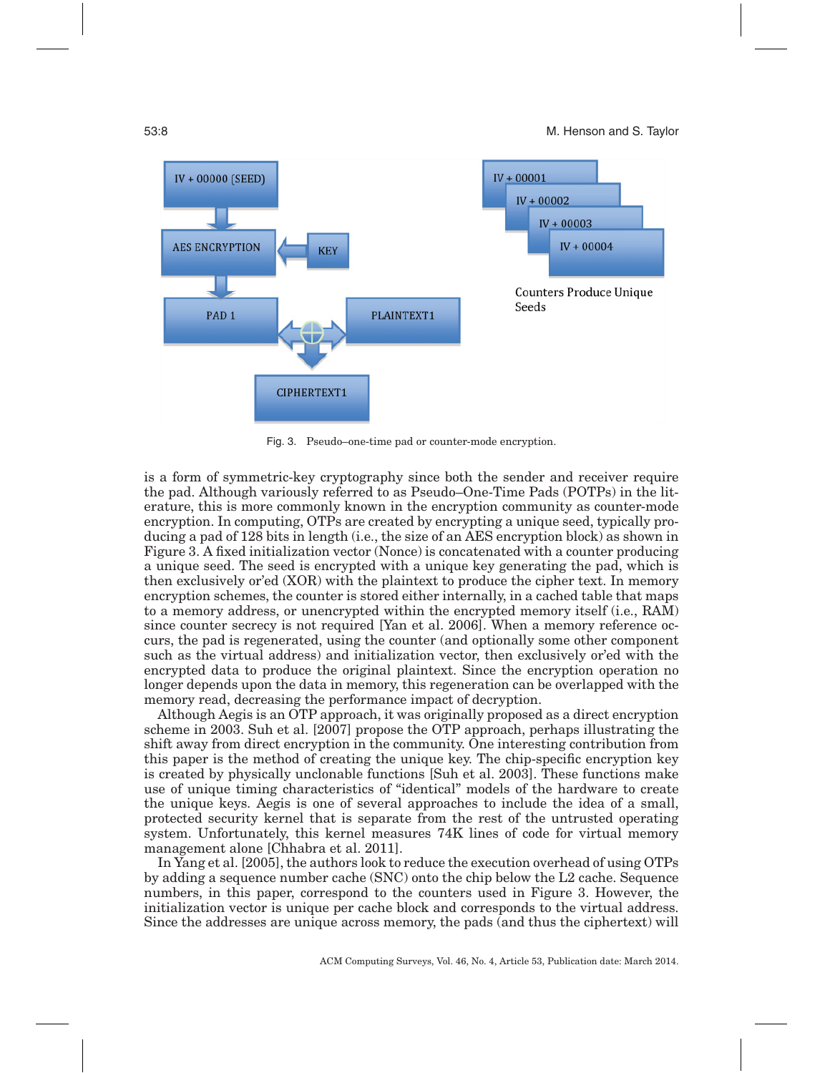<span id="page-7-0"></span>

Fig. 3. Pseudo–one-time pad or counter-mode encryption.

is a form of symmetric-key cryptography since both the sender and receiver require the pad. Although variously referred to as Pseudo–One-Time Pads (POTPs) in the literature, this is more commonly known in the encryption community as counter-mode encryption. In computing, OTPs are created by encrypting a unique seed, typically producing a pad of 128 bits in length (i.e., the size of an AES encryption block) as shown in Figure [3.](#page-7-0) A fixed initialization vector (Nonce) is concatenated with a counter producing a unique seed. The seed is encrypted with a unique key generating the pad, which is then exclusively or'ed (XOR) with the plaintext to produce the cipher text. In memory encryption schemes, the counter is stored either internally, in a cached table that maps to a memory address, or unencrypted within the encrypted memory itself (i.e., RAM) since counter secrecy is not required [\[Yan et al. 2006\]](#page-25-2). When a memory reference occurs, the pad is regenerated, using the counter (and optionally some other component such as the virtual address) and initialization vector, then exclusively or'ed with the encrypted data to produce the original plaintext. Since the encryption operation no longer depends upon the data in memory, this regeneration can be overlapped with the memory read, decreasing the performance impact of decryption.

Although Aegis is an OTP approach, it was originally proposed as a direct encryption scheme in 2003. [Suh et al. \[2007\]](#page-24-8) propose the OTP approach, perhaps illustrating the shift away from direct encryption in the community. One interesting contribution from this paper is the method of creating the unique key. The chip-specific encryption key is created by physically unclonable functions [\[Suh et al. 2003\]](#page-24-8). These functions make use of unique timing characteristics of "identical" models of the hardware to create the unique keys. Aegis is one of several approaches to include the idea of a small, protected security kernel that is separate from the rest of the untrusted operating system. Unfortunately, this kernel measures 74K lines of code for virtual memory management alone [\[Chhabra et al. 2011\]](#page-22-10).

In [Yang et al. \[2005\],](#page-25-1) the authors look to reduce the execution overhead of using OTPs by adding a sequence number cache (SNC) onto the chip below the L2 cache. Sequence numbers, in this paper, correspond to the counters used in Figure [3.](#page-7-0) However, the initialization vector is unique per cache block and corresponds to the virtual address. Since the addresses are unique across memory, the pads (and thus the ciphertext) will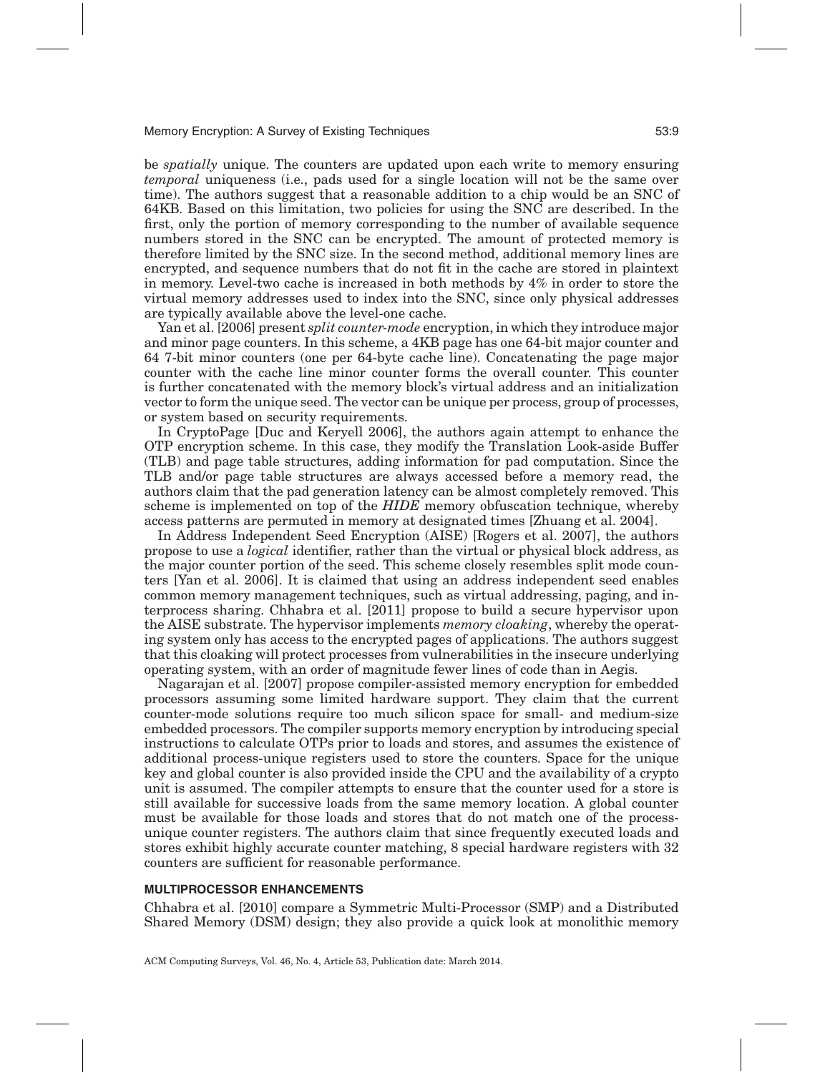#### Memory Encryption: A Survey of Existing Techniques 53:9

be *spatially* unique. The counters are updated upon each write to memory ensuring *temporal* uniqueness (i.e., pads used for a single location will not be the same over time). The authors suggest that a reasonable addition to a chip would be an SNC of 64KB. Based on this limitation, two policies for using the SNC are described. In the first, only the portion of memory corresponding to the number of available sequence numbers stored in the SNC can be encrypted. The amount of protected memory is therefore limited by the SNC size. In the second method, additional memory lines are encrypted, and sequence numbers that do not fit in the cache are stored in plaintext in memory. Level-two cache is increased in both methods by 4% in order to store the virtual memory addresses used to index into the SNC, since only physical addresses are typically available above the level-one cache.

[Yan et al. \[2006\]](#page-25-2) present *split counter-mode* encryption, in which they introduce major and minor page counters. In this scheme, a 4KB page has one 64-bit major counter and 64 7-bit minor counters (one per 64-byte cache line). Concatenating the page major counter with the cache line minor counter forms the overall counter. This counter is further concatenated with the memory block's virtual address and an initialization vector to form the unique seed. The vector can be unique per process, group of processes, or system based on security requirements.

In CryptoPage [\[Duc and Keryell 2006\]](#page-23-5), the authors again attempt to enhance the OTP encryption scheme. In this case, they modify the Translation Look-aside Buffer (TLB) and page table structures, adding information for pad computation. Since the TLB and/or page table structures are always accessed before a memory read, the authors claim that the pad generation latency can be almost completely removed. This scheme is implemented on top of the *HIDE* memory obfuscation technique, whereby access patterns are permuted in memory at designated times [\[Zhuang et al. 2004\]](#page-25-3).

In Address Independent Seed Encryption (AISE) [\[Rogers et al. 2007\]](#page-24-10), the authors propose to use a *logical* identifier, rather than the virtual or physical block address, as the major counter portion of the seed. This scheme closely resembles split mode counters [\[Yan et al. 2006\]](#page-25-2). It is claimed that using an address independent seed enables common memory management techniques, such as virtual addressing, paging, and interprocess sharing. [Chhabra et al. \[2011\]](#page-22-10) propose to build a secure hypervisor upon the AISE substrate. The hypervisor implements *memory cloaking*, whereby the operating system only has access to the encrypted pages of applications. The authors suggest that this cloaking will protect processes from vulnerabilities in the insecure underlying operating system, with an order of magnitude fewer lines of code than in Aegis.

[Nagarajan et al. \[2007\]](#page-24-11) propose compiler-assisted memory encryption for embedded processors assuming some limited hardware support. They claim that the current counter-mode solutions require too much silicon space for small- and medium-size embedded processors. The compiler supports memory encryption by introducing special instructions to calculate OTPs prior to loads and stores, and assumes the existence of additional process-unique registers used to store the counters. Space for the unique key and global counter is also provided inside the CPU and the availability of a crypto unit is assumed. The compiler attempts to ensure that the counter used for a store is still available for successive loads from the same memory location. A global counter must be available for those loads and stores that do not match one of the processunique counter registers. The authors claim that since frequently executed loads and stores exhibit highly accurate counter matching, 8 special hardware registers with 32 counters are sufficient for reasonable performance.

# **MULTIPROCESSOR ENHANCEMENTS**

[Chhabra et al. \[2010\]](#page-23-11) compare a Symmetric Multi-Processor (SMP) and a Distributed Shared Memory (DSM) design; they also provide a quick look at monolithic memory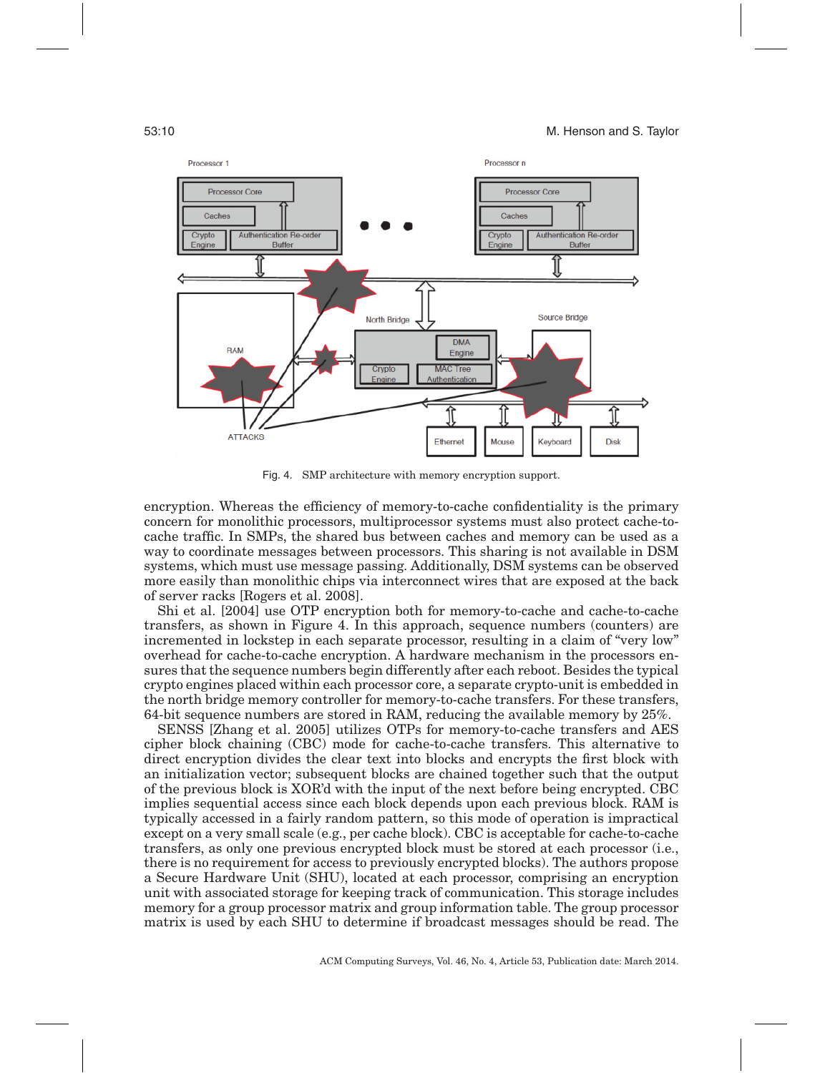<span id="page-9-0"></span>

Fig. 4. SMP architecture with memory encryption support.

encryption. Whereas the efficiency of memory-to-cache confidentiality is the primary concern for monolithic processors, multiprocessor systems must also protect cache-tocache traffic. In SMPs, the shared bus between caches and memory can be used as a way to coordinate messages between processors. This sharing is not available in DSM systems, which must use message passing. Additionally, DSM systems can be observed more easily than monolithic chips via interconnect wires that are exposed at the back of server racks [\[Rogers et al. 2008\]](#page-24-12).

[Shi et al. \[2004\]](#page-24-9) use OTP encryption both for memory-to-cache and cache-to-cache transfers, as shown in Figure [4.](#page-9-0) In this approach, sequence numbers (counters) are incremented in lockstep in each separate processor, resulting in a claim of "very low" overhead for cache-to-cache encryption. A hardware mechanism in the processors ensures that the sequence numbers begin differently after each reboot. Besides the typical crypto engines placed within each processor core, a separate crypto-unit is embedded in the north bridge memory controller for memory-to-cache transfers. For these transfers, 64-bit sequence numbers are stored in RAM, reducing the available memory by 25%.

SENSS [\[Zhang et al. 2005\]](#page-25-4) utilizes OTPs for memory-to-cache transfers and AES cipher block chaining (CBC) mode for cache-to-cache transfers. This alternative to direct encryption divides the clear text into blocks and encrypts the first block with an initialization vector; subsequent blocks are chained together such that the output of the previous block is XOR'd with the input of the next before being encrypted. CBC implies sequential access since each block depends upon each previous block. RAM is typically accessed in a fairly random pattern, so this mode of operation is impractical except on a very small scale (e.g., per cache block). CBC is acceptable for cache-to-cache transfers, as only one previous encrypted block must be stored at each processor (i.e., there is no requirement for access to previously encrypted blocks). The authors propose a Secure Hardware Unit (SHU), located at each processor, comprising an encryption unit with associated storage for keeping track of communication. This storage includes memory for a group processor matrix and group information table. The group processor matrix is used by each SHU to determine if broadcast messages should be read. The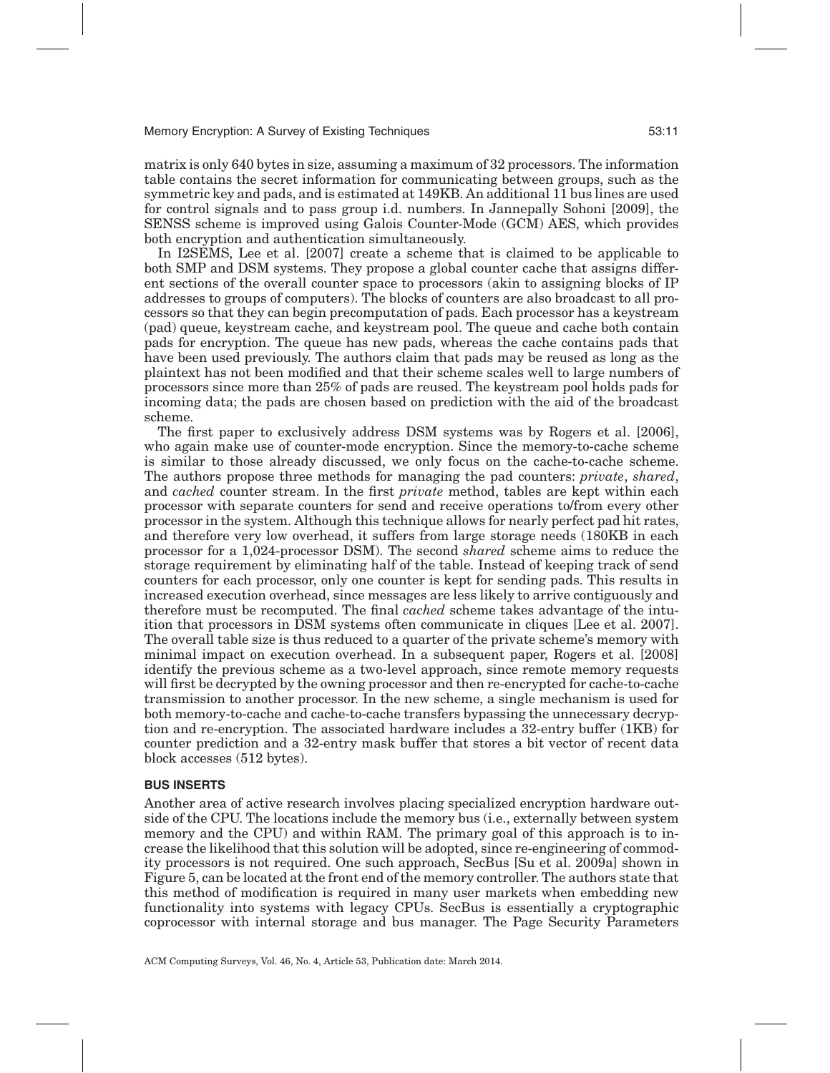# Memory Encryption: A Survey of Existing Techniques 53:11

matrix is only 640 bytes in size, assuming a maximum of 32 processors. The information table contains the secret information for communicating between groups, such as the symmetric key and pads, and is estimated at 149KB. An additional 11 bus lines are used for control signals and to pass group i.d. numbers. In [Jannepally Sohoni \[2009\],](#page-23-12) the SENSS scheme is improved using Galois Counter-Mode (GCM) AES, which provides both encryption and authentication simultaneously.

In I2SEMS, [Lee et al. \[2007\]](#page-24-13) create a scheme that is claimed to be applicable to both SMP and DSM systems. They propose a global counter cache that assigns different sections of the overall counter space to processors (akin to assigning blocks of IP addresses to groups of computers). The blocks of counters are also broadcast to all processors so that they can begin precomputation of pads. Each processor has a keystream (pad) queue, keystream cache, and keystream pool. The queue and cache both contain pads for encryption. The queue has new pads, whereas the cache contains pads that have been used previously. The authors claim that pads may be reused as long as the plaintext has not been modified and that their scheme scales well to large numbers of processors since more than 25% of pads are reused. The keystream pool holds pads for incoming data; the pads are chosen based on prediction with the aid of the broadcast scheme.

The first paper to exclusively address DSM systems was by [Rogers et al. \[2006\],](#page-24-14) who again make use of counter-mode encryption. Since the memory-to-cache scheme is similar to those already discussed, we only focus on the cache-to-cache scheme. The authors propose three methods for managing the pad counters: *private*, *shared*, and *cached* counter stream. In the first *private* method, tables are kept within each processor with separate counters for send and receive operations to/from every other processor in the system. Although this technique allows for nearly perfect pad hit rates, and therefore very low overhead, it suffers from large storage needs (180KB in each processor for a 1,024-processor DSM). The second *shared* scheme aims to reduce the storage requirement by eliminating half of the table. Instead of keeping track of send counters for each processor, only one counter is kept for sending pads. This results in increased execution overhead, since messages are less likely to arrive contiguously and therefore must be recomputed. The final *cached* scheme takes advantage of the intuition that processors in DSM systems often communicate in cliques [\[Lee et al. 2007\]](#page-24-13). The overall table size is thus reduced to a quarter of the private scheme's memory with minimal impact on execution overhead. In a subsequent paper, [Rogers et al. \[2008\]](#page-24-12) identify the previous scheme as a two-level approach, since remote memory requests will first be decrypted by the owning processor and then re-encrypted for cache-to-cache transmission to another processor. In the new scheme, a single mechanism is used for both memory-to-cache and cache-to-cache transfers bypassing the unnecessary decryption and re-encryption. The associated hardware includes a 32-entry buffer (1KB) for counter prediction and a 32-entry mask buffer that stores a bit vector of recent data block accesses (512 bytes).

#### **BUS INSERTS**

Another area of active research involves placing specialized encryption hardware outside of the CPU. The locations include the memory bus (i.e., externally between system memory and the CPU) and within RAM. The primary goal of this approach is to increase the likelihood that this solution will be adopted, since re-engineering of commodity processors is not required. One such approach, SecBus [Su et al. 2009a] shown in Figure [5,](#page-11-0) can be located at the front end of the memory controller. The authors state that this method of modification is required in many user markets when embedding new functionality into systems with legacy CPUs. SecBus is essentially a cryptographic coprocessor with internal storage and bus manager. The Page Security Parameters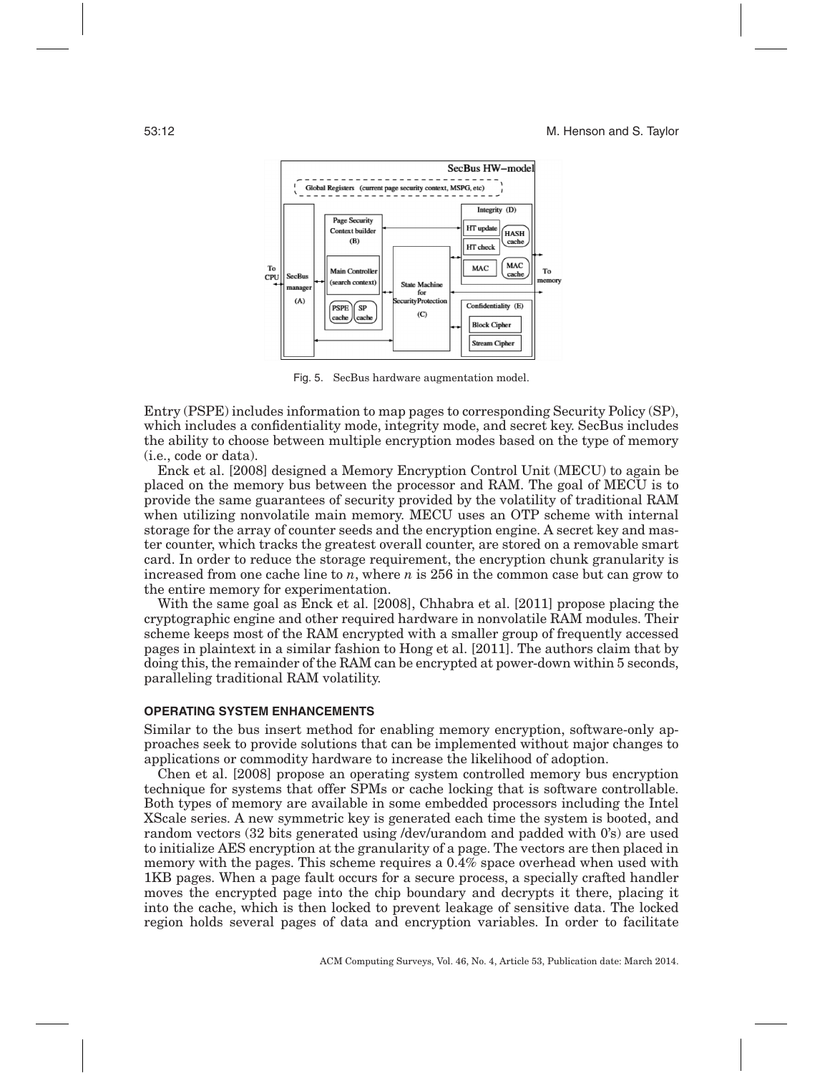<span id="page-11-0"></span>

Fig. 5. SecBus hardware augmentation model.

Entry (PSPE) includes information to map pages to corresponding Security Policy (SP), which includes a confidentiality mode, integrity mode, and secret key. SecBus includes the ability to choose between multiple encryption modes based on the type of memory (i.e., code or data).

[Enck et al. \[2008\]](#page-23-3) designed a Memory Encryption Control Unit (MECU) to again be placed on the memory bus between the processor and RAM. The goal of MECU is to provide the same guarantees of security provided by the volatility of traditional RAM when utilizing nonvolatile main memory. MECU uses an OTP scheme with internal storage for the array of counter seeds and the encryption engine. A secret key and master counter, which tracks the greatest overall counter, are stored on a removable smart card. In order to reduce the storage requirement, the encryption chunk granularity is increased from one cache line to *n*, where *n* is 256 in the common case but can grow to the entire memory for experimentation.

With the same goal as [Enck et al. \[2008\],](#page-23-3) [Chhabra et al. \[2011\]](#page-22-10) propose placing the cryptographic engine and other required hardware in nonvolatile RAM modules. Their scheme keeps most of the RAM encrypted with a smaller group of frequently accessed pages in plaintext in a similar fashion to [Hong et al. \[2011\].](#page-23-10) The authors claim that by doing this, the remainder of the RAM can be encrypted at power-down within 5 seconds, paralleling traditional RAM volatility.

### **OPERATING SYSTEM ENHANCEMENTS**

Similar to the bus insert method for enabling memory encryption, software-only approaches seek to provide solutions that can be implemented without major changes to applications or commodity hardware to increase the likelihood of adoption.

[Chen et al. \[2008\]](#page-22-11) propose an operating system controlled memory bus encryption technique for systems that offer SPMs or cache locking that is software controllable. Both types of memory are available in some embedded processors including the Intel XScale series. A new symmetric key is generated each time the system is booted, and random vectors (32 bits generated using /dev/urandom and padded with 0's) are used to initialize AES encryption at the granularity of a page. The vectors are then placed in memory with the pages. This scheme requires a 0.4% space overhead when used with 1KB pages. When a page fault occurs for a secure process, a specially crafted handler moves the encrypted page into the chip boundary and decrypts it there, placing it into the cache, which is then locked to prevent leakage of sensitive data. The locked region holds several pages of data and encryption variables. In order to facilitate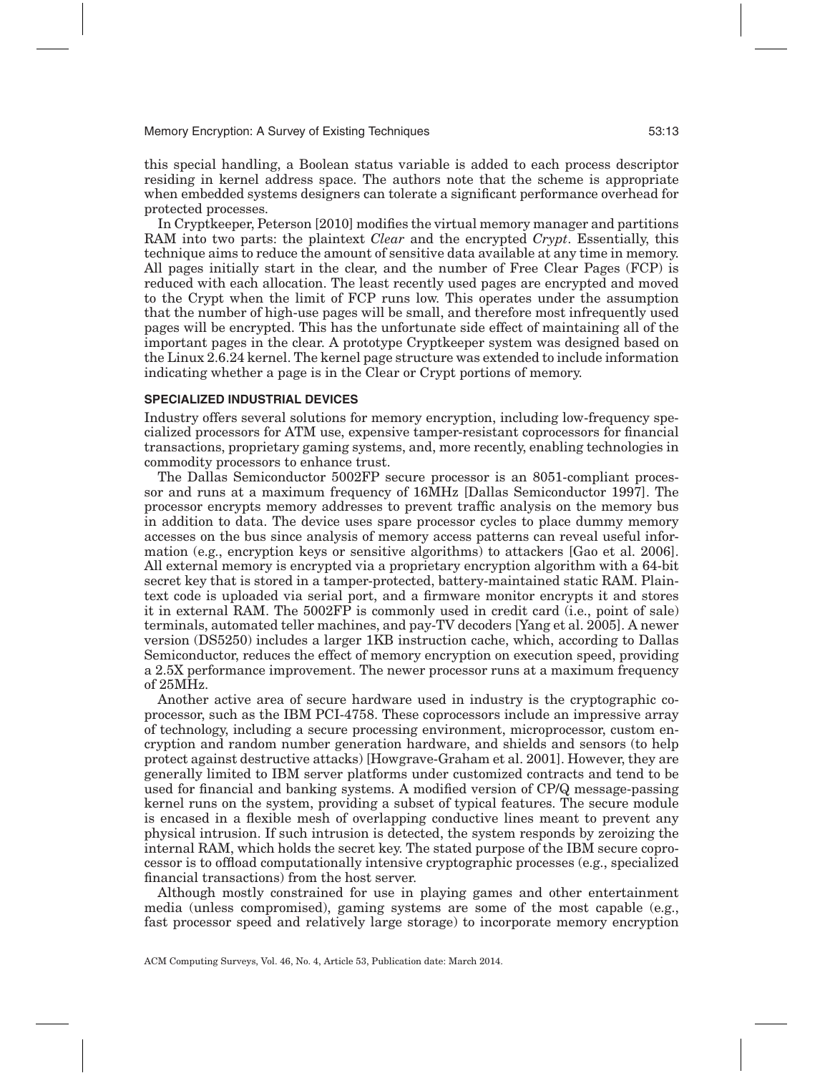#### Memory Encryption: A Survey of Existing Techniques 53:13

this special handling, a Boolean status variable is added to each process descriptor residing in kernel address space. The authors note that the scheme is appropriate when embedded systems designers can tolerate a significant performance overhead for protected processes.

In Cryptkeeper, [Peterson \[2010\]](#page-24-15) modifies the virtual memory manager and partitions RAM into two parts: the plaintext *Clear* and the encrypted *Crypt*. Essentially, this technique aims to reduce the amount of sensitive data available at any time in memory. All pages initially start in the clear, and the number of Free Clear Pages (FCP) is reduced with each allocation. The least recently used pages are encrypted and moved to the Crypt when the limit of FCP runs low. This operates under the assumption that the number of high-use pages will be small, and therefore most infrequently used pages will be encrypted. This has the unfortunate side effect of maintaining all of the important pages in the clear. A prototype Cryptkeeper system was designed based on the Linux 2.6.24 kernel. The kernel page structure was extended to include information indicating whether a page is in the Clear or Crypt portions of memory.

### **SPECIALIZED INDUSTRIAL DEVICES**

Industry offers several solutions for memory encryption, including low-frequency specialized processors for ATM use, expensive tamper-resistant coprocessors for financial transactions, proprietary gaming systems, and, more recently, enabling technologies in commodity processors to enhance trust.

The Dallas Semiconductor 5002FP secure processor is an 8051-compliant processor and runs at a maximum frequency of 16MHz [\[Dallas Semiconductor 1997\]](#page-23-6). The processor encrypts memory addresses to prevent traffic analysis on the memory bus in addition to data. The device uses spare processor cycles to place dummy memory accesses on the bus since analysis of memory access patterns can reveal useful information (e.g., encryption keys or sensitive algorithms) to attackers [\[Gao et al. 2006\]](#page-23-13). All external memory is encrypted via a proprietary encryption algorithm with a 64-bit secret key that is stored in a tamper-protected, battery-maintained static RAM. Plaintext code is uploaded via serial port, and a firmware monitor encrypts it and stores it in external RAM. The 5002FP is commonly used in credit card (i.e., point of sale) terminals, automated teller machines, and pay-TV decoders [\[Yang et al. 2005\]](#page-25-1). A newer version (DS5250) includes a larger 1KB instruction cache, which, according to Dallas Semiconductor, reduces the effect of memory encryption on execution speed, providing a 2.5X performance improvement. The newer processor runs at a maximum frequency of 25MHz.

Another active area of secure hardware used in industry is the cryptographic coprocessor, such as the IBM PCI-4758. These coprocessors include an impressive array of technology, including a secure processing environment, microprocessor, custom encryption and random number generation hardware, and shields and sensors (to help protect against destructive attacks) [\[Howgrave-Graham et al. 2001\]](#page-23-14). However, they are generally limited to IBM server platforms under customized contracts and tend to be used for financial and banking systems. A modified version of CP/Q message-passing kernel runs on the system, providing a subset of typical features. The secure module is encased in a flexible mesh of overlapping conductive lines meant to prevent any physical intrusion. If such intrusion is detected, the system responds by zeroizing the internal RAM, which holds the secret key. The stated purpose of the IBM secure coprocessor is to offload computationally intensive cryptographic processes (e.g., specialized financial transactions) from the host server.

Although mostly constrained for use in playing games and other entertainment media (unless compromised), gaming systems are some of the most capable (e.g., fast processor speed and relatively large storage) to incorporate memory encryption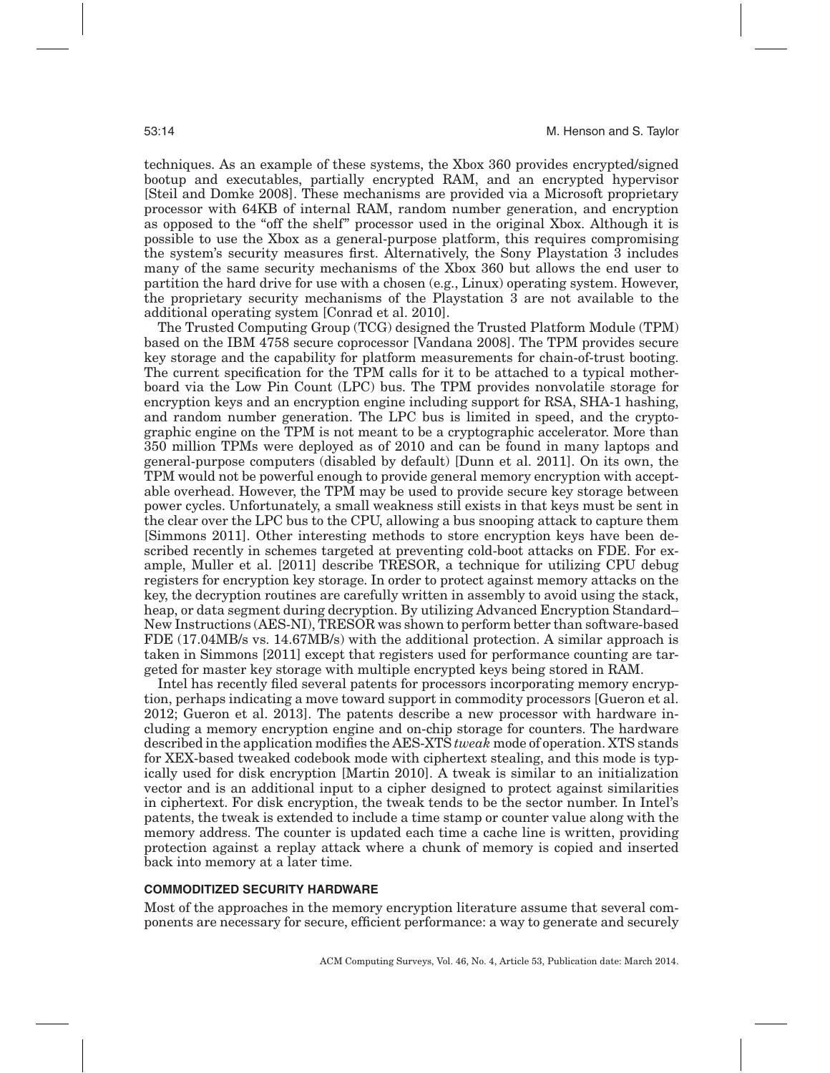techniques. As an example of these systems, the Xbox 360 provides encrypted/signed bootup and executables, partially encrypted RAM, and an encrypted hypervisor [\[Steil and Domke 2008\]](#page-24-16). These mechanisms are provided via a Microsoft proprietary processor with 64KB of internal RAM, random number generation, and encryption as opposed to the "off the shelf" processor used in the original Xbox. Although it is possible to use the Xbox as a general-purpose platform, this requires compromising the system's security measures first. Alternatively, the Sony Playstation 3 includes many of the same security mechanisms of the Xbox 360 but allows the end user to partition the hard drive for use with a chosen (e.g., Linux) operating system. However, the proprietary security mechanisms of the Playstation 3 are not available to the additional operating system [\[Conrad et al. 2010\]](#page-23-15).

The Trusted Computing Group (TCG) designed the Trusted Platform Module (TPM) based on the IBM 4758 secure coprocessor [\[Vandana 2008\]](#page-25-5). The TPM provides secure key storage and the capability for platform measurements for chain-of-trust booting. The current specification for the TPM calls for it to be attached to a typical motherboard via the Low Pin Count (LPC) bus. The TPM provides nonvolatile storage for encryption keys and an encryption engine including support for RSA, SHA-1 hashing, and random number generation. The LPC bus is limited in speed, and the cryptographic engine on the TPM is not meant to be a cryptographic accelerator. More than 350 million TPMs were deployed as of 2010 and can be found in many laptops and general-purpose computers (disabled by default) [\[Dunn et al. 2011\]](#page-23-16). On its own, the TPM would not be powerful enough to provide general memory encryption with acceptable overhead. However, the TPM may be used to provide secure key storage between power cycles. Unfortunately, a small weakness still exists in that keys must be sent in the clear over the LPC bus to the CPU, allowing a bus snooping attack to capture them [\[Simmons 2011\]](#page-24-17). Other interesting methods to store encryption keys have been described recently in schemes targeted at preventing cold-boot attacks on FDE. For example, [Muller et al. \[2011\]](#page-24-5) describe TRESOR, a technique for utilizing CPU debug registers for encryption key storage. In order to protect against memory attacks on the key, the decryption routines are carefully written in assembly to avoid using the stack, heap, or data segment during decryption. By utilizing Advanced Encryption Standard– New Instructions (AES-NI), TRESOR was shown to perform better than software-based FDE (17.04MB/s vs. 14.67MB/s) with the additional protection. A similar approach is taken in [Simmons \[2011\]](#page-24-17) except that registers used for performance counting are targeted for master key storage with multiple encrypted keys being stored in RAM.

Intel has recently filed several patents for processors incorporating memory encryption, perhaps indicating a move toward support in commodity processors [\[Gueron et al.](#page-23-17) [2012;](#page-23-17) [Gueron et al. 2013\]](#page-23-18). The patents describe a new processor with hardware including a memory encryption engine and on-chip storage for counters. The hardware described in the application modifies the AES-XTS *tweak* mode of operation. XTS stands for XEX-based tweaked codebook mode with ciphertext stealing, and this mode is typically used for disk encryption [\[Martin 2010\]](#page-24-18). A tweak is similar to an initialization vector and is an additional input to a cipher designed to protect against similarities in ciphertext. For disk encryption, the tweak tends to be the sector number. In Intel's patents, the tweak is extended to include a time stamp or counter value along with the memory address. The counter is updated each time a cache line is written, providing protection against a replay attack where a chunk of memory is copied and inserted back into memory at a later time.

#### **COMMODITIZED SECURITY HARDWARE**

Most of the approaches in the memory encryption literature assume that several components are necessary for secure, efficient performance: a way to generate and securely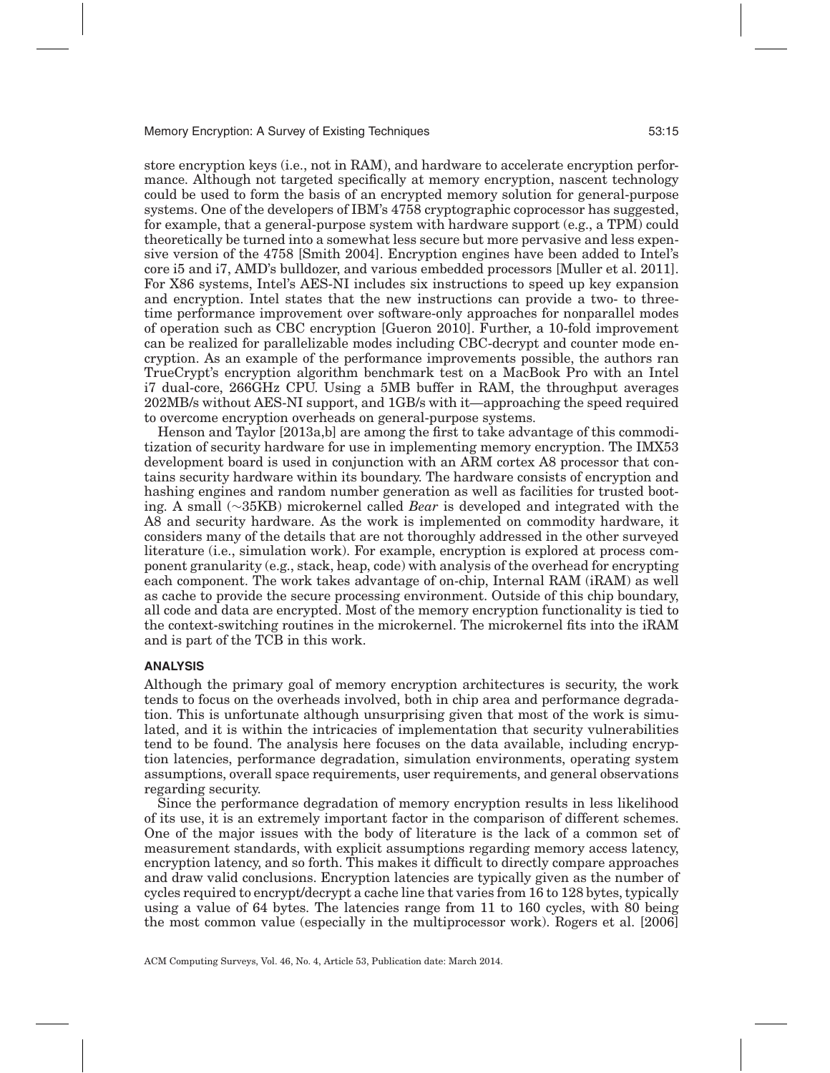store encryption keys (i.e., not in RAM), and hardware to accelerate encryption performance. Although not targeted specifically at memory encryption, nascent technology could be used to form the basis of an encrypted memory solution for general-purpose systems. One of the developers of IBM's 4758 cryptographic coprocessor has suggested, for example, that a general-purpose system with hardware support (e.g., a TPM) could theoretically be turned into a somewhat less secure but more pervasive and less expensive version of the 4758 [\[Smith 2004\]](#page-24-19). Encryption engines have been added to Intel's core i5 and i7, AMD's bulldozer, and various embedded processors [\[Muller et al. 2011\]](#page-24-5). For X86 systems, Intel's AES-NI includes six instructions to speed up key expansion and encryption. Intel states that the new instructions can provide a two- to threetime performance improvement over software-only approaches for nonparallel modes of operation such as CBC encryption [\[Gueron 2010\]](#page-23-19). Further, a 10-fold improvement can be realized for parallelizable modes including CBC-decrypt and counter mode encryption. As an example of the performance improvements possible, the authors ran TrueCrypt's encryption algorithm benchmark test on a MacBook Pro with an Intel i7 dual-core, 266GHz CPU. Using a 5MB buffer in RAM, the throughput averages 202MB/s without AES-NI support, and 1GB/s with it—approaching the speed required to overcome encryption overheads on general-purpose systems.

Henson and Taylor [2013a,b] are among the first to take advantage of this commoditization of security hardware for use in implementing memory encryption. The IMX53 development board is used in conjunction with an ARM cortex A8 processor that contains security hardware within its boundary. The hardware consists of encryption and hashing engines and random number generation as well as facilities for trusted booting. A small (∼35KB) microkernel called *Bear* is developed and integrated with the A8 and security hardware. As the work is implemented on commodity hardware, it considers many of the details that are not thoroughly addressed in the other surveyed literature (i.e., simulation work). For example, encryption is explored at process component granularity (e.g., stack, heap, code) with analysis of the overhead for encrypting each component. The work takes advantage of on-chip, Internal RAM (iRAM) as well as cache to provide the secure processing environment. Outside of this chip boundary, all code and data are encrypted. Most of the memory encryption functionality is tied to the context-switching routines in the microkernel. The microkernel fits into the iRAM and is part of the TCB in this work.

#### **ANALYSIS**

Although the primary goal of memory encryption architectures is security, the work tends to focus on the overheads involved, both in chip area and performance degradation. This is unfortunate although unsurprising given that most of the work is simulated, and it is within the intricacies of implementation that security vulnerabilities tend to be found. The analysis here focuses on the data available, including encryption latencies, performance degradation, simulation environments, operating system assumptions, overall space requirements, user requirements, and general observations regarding security.

Since the performance degradation of memory encryption results in less likelihood of its use, it is an extremely important factor in the comparison of different schemes. One of the major issues with the body of literature is the lack of a common set of measurement standards, with explicit assumptions regarding memory access latency, encryption latency, and so forth. This makes it difficult to directly compare approaches and draw valid conclusions. Encryption latencies are typically given as the number of cycles required to encrypt/decrypt a cache line that varies from 16 to 128 bytes, typically using a value of 64 bytes. The latencies range from 11 to 160 cycles, with 80 being the most common value (especially in the multiprocessor work). [Rogers et al. \[2006\]](#page-24-14)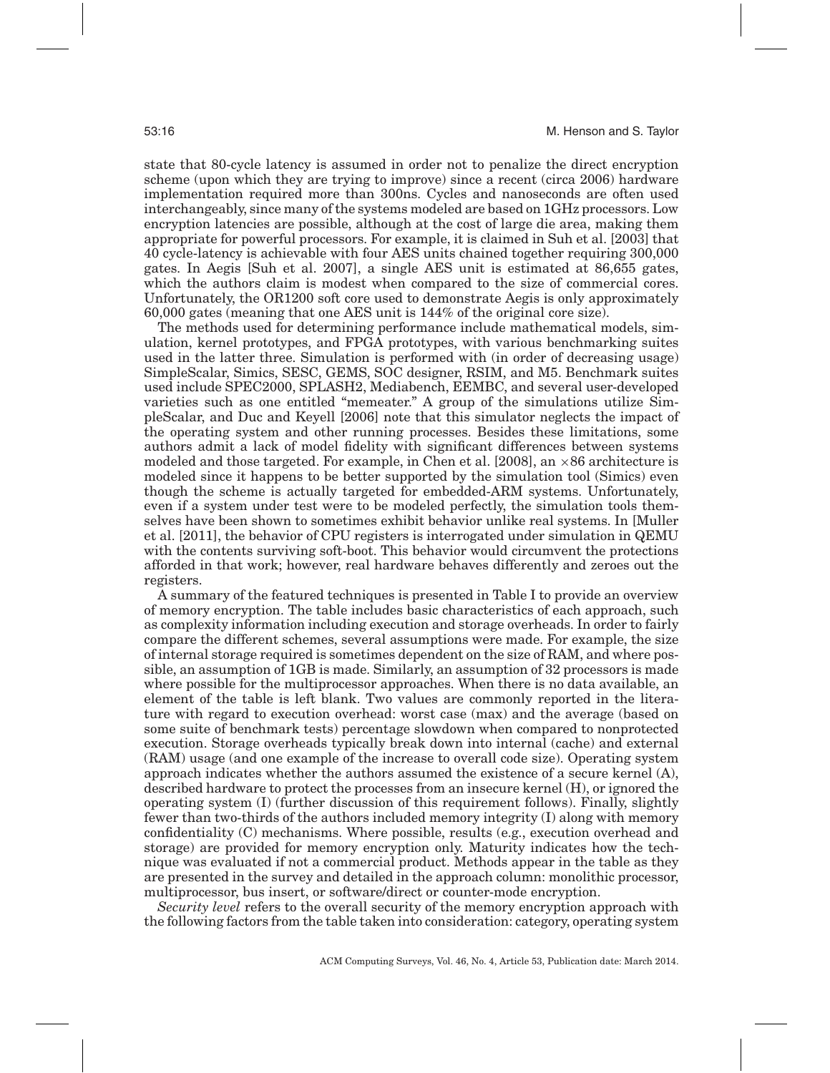state that 80-cycle latency is assumed in order not to penalize the direct encryption scheme (upon which they are trying to improve) since a recent (circa 2006) hardware implementation required more than 300ns. Cycles and nanoseconds are often used interchangeably, since many of the systems modeled are based on 1GHz processors. Low encryption latencies are possible, although at the cost of large die area, making them appropriate for powerful processors. For example, it is claimed in [Suh et al. \[2003\]](#page-24-8) that 40 cycle-latency is achievable with four AES units chained together requiring 300,000 gates. In Aegis [\[Suh et al. 2007\]](#page-25-0), a single AES unit is estimated at 86,655 gates, which the authors claim is modest when compared to the size of commercial cores. Unfortunately, the OR1200 soft core used to demonstrate Aegis is only approximately 60,000 gates (meaning that one AES unit is 144% of the original core size).

The methods used for determining performance include mathematical models, simulation, kernel prototypes, and FPGA prototypes, with various benchmarking suites used in the latter three. Simulation is performed with (in order of decreasing usage) SimpleScalar, Simics, SESC, GEMS, SOC designer, RSIM, and M5. Benchmark suites used include SPEC2000, SPLASH2, Mediabench, EEMBC, and several user-developed varieties such as one entitled "memeater." A group of the simulations utilize SimpleScalar, and [Duc and Keyell \[2006\]](#page-23-5) note that this simulator neglects the impact of the operating system and other running processes. Besides these limitations, some authors admit a lack of model fidelity with significant differences between systems modeled and those targeted. For example, in Chen et al.  $[2008]$ , an  $\times 86$  architecture is modeled since it happens to be better supported by the simulation tool (Simics) even though the scheme is actually targeted for embedded-ARM systems. Unfortunately, even if a system under test were to be modeled perfectly, the simulation tools themselves have been shown to sometimes exhibit behavior unlike real systems. In [\[Muller](#page-24-5) [et al. \[2011\],](#page-24-5) the behavior of CPU registers is interrogated under simulation in QEMU with the contents surviving soft-boot. This behavior would circumvent the protections afforded in that work; however, real hardware behaves differently and zeroes out the registers.

A summary of the featured techniques is presented in Table [I](#page-16-0) to provide an overview of memory encryption. The table includes basic characteristics of each approach, such as complexity information including execution and storage overheads. In order to fairly compare the different schemes, several assumptions were made. For example, the size of internal storage required is sometimes dependent on the size of RAM, and where possible, an assumption of 1GB is made. Similarly, an assumption of 32 processors is made where possible for the multiprocessor approaches. When there is no data available, an element of the table is left blank. Two values are commonly reported in the literature with regard to execution overhead: worst case (max) and the average (based on some suite of benchmark tests) percentage slowdown when compared to nonprotected execution. Storage overheads typically break down into internal (cache) and external (RAM) usage (and one example of the increase to overall code size). Operating system approach indicates whether the authors assumed the existence of a secure kernel (A), described hardware to protect the processes from an insecure kernel (H), or ignored the operating system (I) (further discussion of this requirement follows). Finally, slightly fewer than two-thirds of the authors included memory integrity (I) along with memory confidentiality (C) mechanisms. Where possible, results (e.g., execution overhead and storage) are provided for memory encryption only. Maturity indicates how the technique was evaluated if not a commercial product. Methods appear in the table as they are presented in the survey and detailed in the approach column: monolithic processor, multiprocessor, bus insert, or software/direct or counter-mode encryption.

*Security level* refers to the overall security of the memory encryption approach with the following factors from the table taken into consideration: category, operating system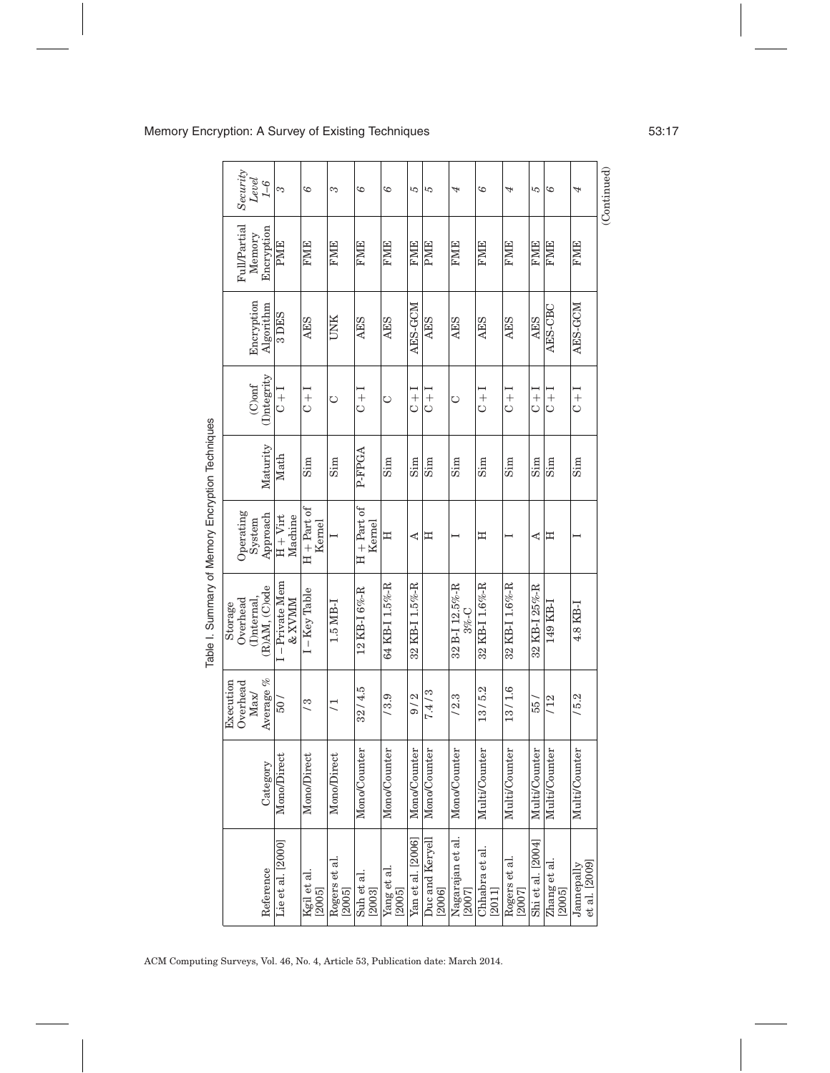| Security<br>Level<br>$1 - 6$                        | S                         | G                       | S                       | G                       | G                                           | 5                 | S                         | 4                          | G                        | 4                       | 5                 | G                         | 4                                                       | (Continued) |
|-----------------------------------------------------|---------------------------|-------------------------|-------------------------|-------------------------|---------------------------------------------|-------------------|---------------------------|----------------------------|--------------------------|-------------------------|-------------------|---------------------------|---------------------------------------------------------|-------------|
| Full/Partial<br>Encryption<br>Memory                | <b>PME</b>                | <b>FME</b>              | <b>FME</b>              | <b>FME</b>              | <b>FME</b>                                  | <b>FMR</b>        | <b>PME</b>                | <b>FME</b>                 | <b>FME</b>               | <b>FME</b>              | <b>FME</b>        | <b>FME</b>                | <b>FME</b>                                              |             |
| Encryption<br>Algorithm                             | 3 DES                     | <b>AES</b>              | <b>UNK</b>              | AES                     | <b>AES</b>                                  | AES-GCM           | <b>AES</b>                | <b>AES</b>                 | <b>AES</b>               | AES                     | AES               | AES-CBC                   | AES-GCM                                                 |             |
| (I)ntegrity<br>$\left( \text{C}\right)$ on<br>f     | $1 + 0$                   | $1 + 1$                 | ◡                       | $\frac{1}{C}$           | O                                           | $C + I$           | $C + I$                   | ల                          | $\frac{1}{C}$            | $\frac{1}{C}$           | $1 + 0$           | $-1$                      | $C + I$                                                 |             |
| Maturity                                            | Math                      | $\sin$                  | Sim                     | P-FPGA                  | $\sin$                                      | Sim               | Sim                       | $\sin$                     | Sim                      | Sim                     | $\sin$            | $\sin$                    | $\sin$                                                  |             |
| Operating<br>Approach<br>System                     | $H + Vint$<br>Machine     | $H + Part$ of<br>Kernel |                         | $H + Part$ of<br>Kernel | Ξ                                           | ⋖                 | 〓                         |                            | Η                        |                         | ∢                 | Ξ                         |                                                         |             |
| (R)AM, (C)ode<br>(I)nternal,<br>Overhead<br>Storage | I – Private Mem<br>& XVMM | $I - Key Table$         | $1.5$ MB-I              | 12 KB-I 6%-R            | 64 KB-I 1.5%-R                              | 32 KB-I 1.5%-R    |                           | 32 B-I 12.5%-R<br>$3% -C$  | 32 KB-I 1.6%-R           | 32 KB-I 1.6%-R          | 32 KB-I 25%-R     | 149 KB-1                  | 4.8 KB-I                                                |             |
| Average %<br>Execution<br>Overhead<br>Max/          | $\frac{50}{ }$            | $\frac{3}{2}$           | $\overline{1}$          | 32/4.5                  | /3.9                                        | 9/2               | 7.4/3                     | /2.3                       | 13/5.2                   | 13/1.6                  | 55 /              | /12                       | 15.2                                                    |             |
| Category                                            | Mono/Direct               | Mono/Direct             | Mono/Direct             | Mono/Counter            | Mono/Counter                                | Mono/Counter      | Mono/Counter              | Mono/Counter               | Multi/Counter            | Multi/Counter           | Multi/Counter     | Multi/Counter             | Multi/Counter                                           |             |
| Reference                                           | Lie et al. [2000]         | Kgil et al.<br>[2005]   | Rogers et al.<br>[2005] | Suh et al.<br>[2003]    | $\frac{$ Yang et al.<br>$\left[2005\right]$ | Yan et al. [2006] | Duc and Keryell<br>[2006] | Nagarajan et al.<br>[2007] | Chhabra et al.<br>[2011] | Rogers et al.<br>[2007] | Shi et al. [2004] | $Z$ hang et al.<br>[2005] | ${\small\bf Jannepally} \\ {\small\bf et\ al.\ [2009]}$ |             |

Table I. Summary of Memory Encryption Techniques Table I. Summary of Memory Encryption Techniques

<span id="page-16-0"></span>ACM Computing Surveys, Vol. 46, No. 4, Article 53, Publication date: March 2014.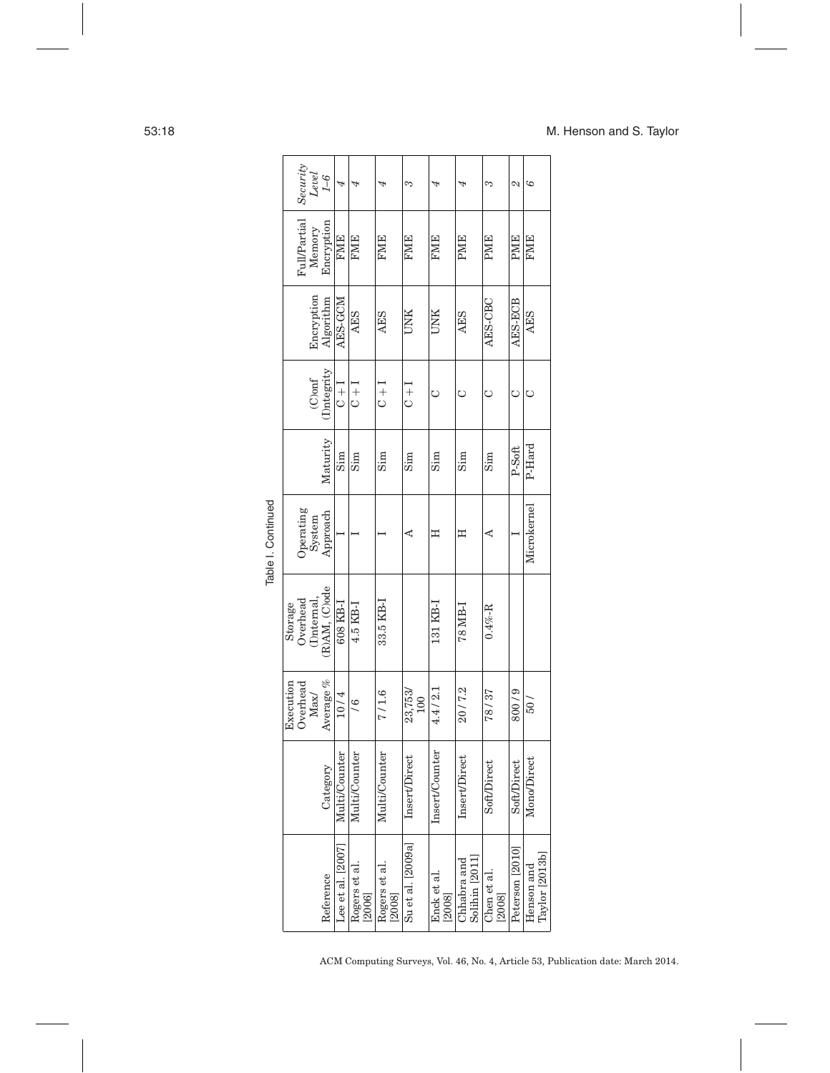| Security              | $_{I-\rm 6}^{Level}$                        |                   |                         |                         | ణ                 |                       |                                                                          |                       | S)              | 6                            |
|-----------------------|---------------------------------------------|-------------------|-------------------------|-------------------------|-------------------|-----------------------|--------------------------------------------------------------------------|-----------------------|-----------------|------------------------------|
| Full/Partial          | Encryption<br>Memory                        | <b>FME</b>        | <b>FME</b>              | <b>FME</b>              | <b>FME</b>        | <b>FME</b>            | <b>PME</b>                                                               | <b>PME</b>            | <b>PME</b>      | <b>FME</b>                   |
|                       | Encryption<br>Algorithm                     | <b>AES-GCM</b>    | <b>AES</b>              | <b>AES</b>              | UNK               | <b>UNK</b>            | <b>AES</b>                                                               | AES-CBC               | AES-ECB         | <b>AES</b>                   |
|                       | (I)ntegrity<br>$\left( \text{C}\right)$ onf | $1 + 1$           | $1 + 1$                 | $C + I$                 | $1 + 1$           |                       |                                                                          |                       | Ò               | Ò                            |
|                       | Maturity                                    | Sim               | $\sin$                  | $\sin$                  | $\sin$            | $\sin$                | $\sin$                                                                   | $\sin$                | P-Soft          | P-Hard                       |
| <b>J</b> perating     | Approach<br>System                          |                   |                         |                         | ⋖                 | ⊞                     | Ξ                                                                        | ⋖                     |                 | Microkernel                  |
| Overhead<br>Storage   | (R)AM, (C)ode<br>(I)nternal,                | <b>608 KB-I</b>   | 4.5 KB-I                | 33.5 KB-I               |                   | 131 KB-I              | <b>T-BM 87</b>                                                           | $0.4\% - R$           |                 |                              |
| Execution<br>Overhead | Average $\%$<br>Max                         | 10/4              | $\frac{6}{5}$           | 7/1.6                   | 23,753/<br>100    | 4.4/2.1               | 20/7.2                                                                   | 78/37                 | 800/9           | $\frac{50}{ }$               |
|                       | Category                                    | Multi/Counter     | Multi/Counter           | Multi/Counter           | Insert/Direct     | Insert/Counter        | Insert/Direct                                                            | Soft/Direct           | Soft/Direct     | Mono/Direct                  |
|                       | Reference                                   | Lee et al. [2007] | Rogers et al.<br>[2006] | Rogers et al.<br>[2008] | Su et al. [2009a] | Enck et al.<br>[2008] | $\begin{array}{c} \text{Chabra and}\\ \text{Soihin } [2011] \end{array}$ | Chen et al.<br>[2008] | Peterson [2010] | Taylor [2013b]<br>Henson and |

| r |
|---|

ACM Computing Surveys, Vol. 46, No. 4, Article 53, Publication date: March 2014.

53:18 M. Henson and S. Taylor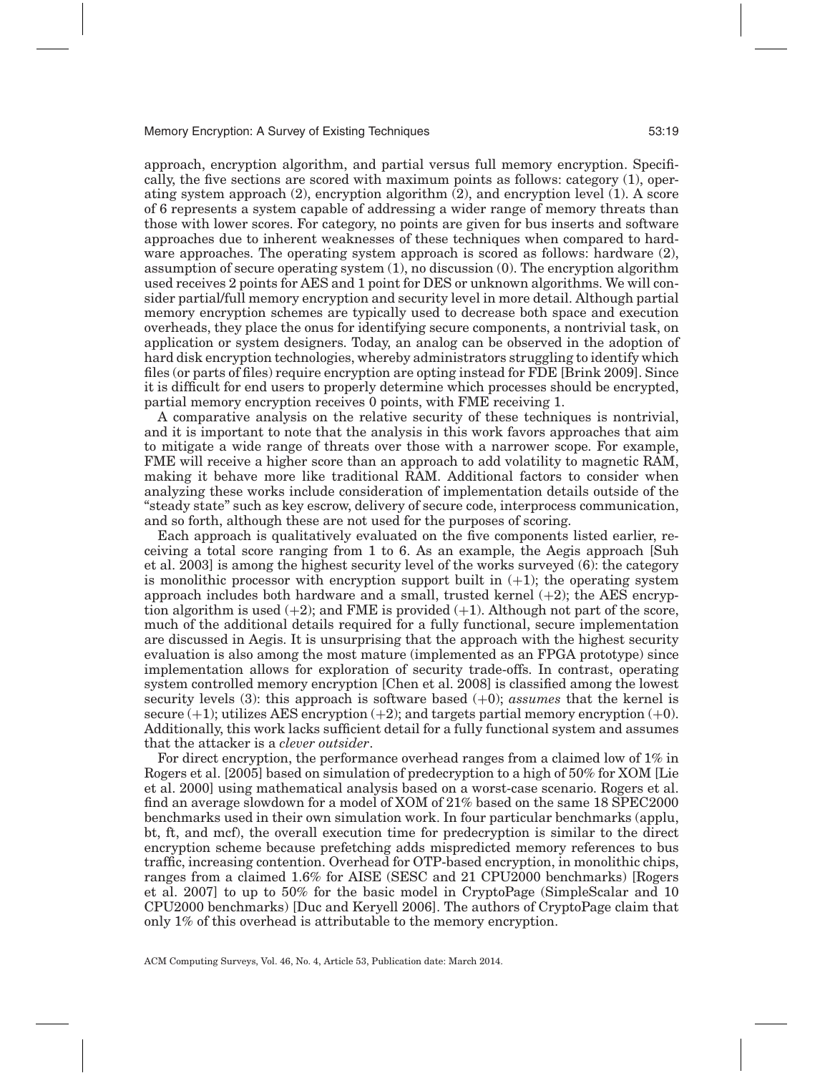approach, encryption algorithm, and partial versus full memory encryption. Specifically, the five sections are scored with maximum points as follows: category (1), operating system approach (2), encryption algorithm (2), and encryption level (1). A score of 6 represents a system capable of addressing a wider range of memory threats than those with lower scores. For category, no points are given for bus inserts and software approaches due to inherent weaknesses of these techniques when compared to hardware approaches. The operating system approach is scored as follows: hardware (2), assumption of secure operating system (1), no discussion (0). The encryption algorithm used receives 2 points for AES and 1 point for DES or unknown algorithms. We will consider partial/full memory encryption and security level in more detail. Although partial memory encryption schemes are typically used to decrease both space and execution overheads, they place the onus for identifying secure components, a nontrivial task, on application or system designers. Today, an analog can be observed in the adoption of hard disk encryption technologies, whereby administrators struggling to identify which files (or parts of files) require encryption are opting instead for FDE [\[Brink 2009\]](#page-22-0). Since it is difficult for end users to properly determine which processes should be encrypted, partial memory encryption receives 0 points, with FME receiving 1.

A comparative analysis on the relative security of these techniques is nontrivial, and it is important to note that the analysis in this work favors approaches that aim to mitigate a wide range of threats over those with a narrower scope. For example, FME will receive a higher score than an approach to add volatility to magnetic RAM, making it behave more like traditional RAM. Additional factors to consider when analyzing these works include consideration of implementation details outside of the "steady state" such as key escrow, delivery of secure code, interprocess communication, and so forth, although these are not used for the purposes of scoring.

Each approach is qualitatively evaluated on the five components listed earlier, receiving a total score ranging from 1 to 6. As an example, the Aegis approach [\[Suh](#page-24-8) [et al. 2003\]](#page-24-8) is among the highest security level of the works surveyed (6): the category is monolithic processor with encryption support built in  $(+1)$ ; the operating system approach includes both hardware and a small, trusted kernel  $(+2)$ ; the AES encryption algorithm is used  $(+2)$ ; and FME is provided  $(+1)$ . Although not part of the score, much of the additional details required for a fully functional, secure implementation are discussed in Aegis. It is unsurprising that the approach with the highest security evaluation is also among the most mature (implemented as an FPGA prototype) since implementation allows for exploration of security trade-offs. In contrast, operating system controlled memory encryption [\[Chen et al. 2008\]](#page-22-11) is classified among the lowest security levels (3): this approach is software based (+0); *assumes* that the kernel is secure  $(+1)$ ; utilizes AES encryption  $(+2)$ ; and targets partial memory encryption  $(+0)$ . Additionally, this work lacks sufficient detail for a fully functional system and assumes that the attacker is a *clever outsider*.

For direct encryption, the performance overhead ranges from a claimed low of 1% in [Rogers et al. \[2005\]](#page-24-7) based on simulation of predecryption to a high of 50% for XOM [\[Lie](#page-24-6) [et al. 2000\]](#page-24-6) using mathematical analysis based on a worst-case scenario. Rogers et al. find an average slowdown for a model of XOM of 21% based on the same 18 SPEC2000 benchmarks used in their own simulation work. In four particular benchmarks (applu, bt, ft, and mcf), the overall execution time for predecryption is similar to the direct encryption scheme because prefetching adds mispredicted memory references to bus traffic, increasing contention. Overhead for OTP-based encryption, in monolithic chips, ranges from a claimed 1.6% for AISE (SESC and 21 CPU2000 benchmarks) [\[Rogers](#page-24-10) [et al. 2007\]](#page-24-10) to up to 50% for the basic model in CryptoPage (SimpleScalar and 10 CPU2000 benchmarks) [\[Duc and Keryell 2006\]](#page-23-5). The authors of CryptoPage claim that only 1% of this overhead is attributable to the memory encryption.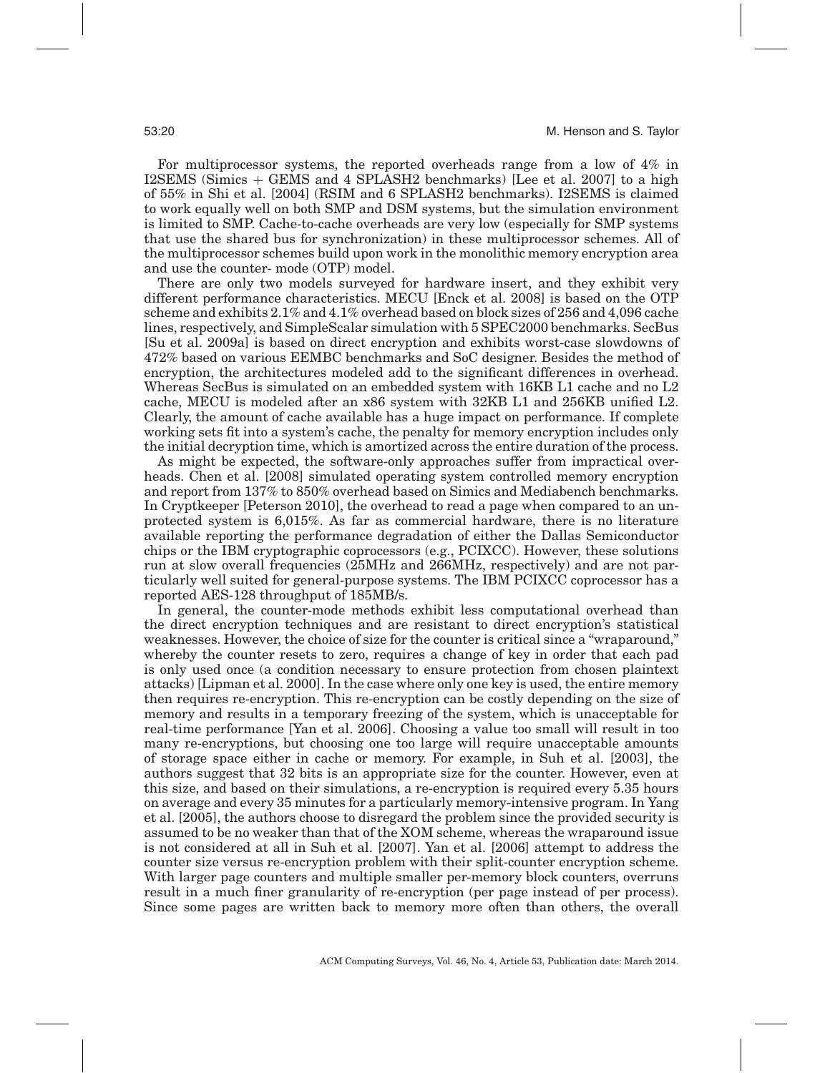For multiprocessor systems, the reported overheads range from a low of 4% in I2SEMS (Simics + GEMS and 4 SPLASH2 benchmarks) [\[Lee et al. 2007\]](#page-24-13) to a high of 55% in [Shi et al. \[2004\]](#page-24-9) (RSIM and 6 SPLASH2 benchmarks). I2SEMS is claimed to work equally well on both SMP and DSM systems, but the simulation environment is limited to SMP. Cache-to-cache overheads are very low (especially for SMP systems that use the shared bus for synchronization) in these multiprocessor schemes. All of the multiprocessor schemes build upon work in the monolithic memory encryption area and use the counter- mode (OTP) model.

There are only two models surveyed for hardware insert, and they exhibit very different performance characteristics. MECU [\[Enck et al. 2008\]](#page-23-3) is based on the OTP scheme and exhibits 2.1% and 4.1% overhead based on block sizes of 256 and 4,096 cache lines, respectively, and SimpleScalar simulation with 5 SPEC2000 benchmarks. SecBus [Su et al. 2009a] is based on direct encryption and exhibits worst-case slowdowns of 472% based on various EEMBC benchmarks and SoC designer. Besides the method of encryption, the architectures modeled add to the significant differences in overhead. Whereas SecBus is simulated on an embedded system with 16KB L1 cache and no L2 cache, MECU is modeled after an x86 system with 32KB L1 and 256KB unified L2. Clearly, the amount of cache available has a huge impact on performance. If complete working sets fit into a system's cache, the penalty for memory encryption includes only the initial decryption time, which is amortized across the entire duration of the process.

As might be expected, the software-only approaches suffer from impractical overheads. [Chen et al. \[2008\]](#page-22-11) simulated operating system controlled memory encryption and report from 137% to 850% overhead based on Simics and Mediabench benchmarks. In Cryptkeeper [\[Peterson 2010\]](#page-24-15), the overhead to read a page when compared to an unprotected system is 6,015%. As far as commercial hardware, there is no literature available reporting the performance degradation of either the Dallas Semiconductor chips or the IBM cryptographic coprocessors (e.g., PCIXCC). However, these solutions run at slow overall frequencies (25MHz and 266MHz, respectively) and are not particularly well suited for general-purpose systems. The IBM PCIXCC coprocessor has a reported AES-128 throughput of 185MB/s.

In general, the counter-mode methods exhibit less computational overhead than the direct encryption techniques and are resistant to direct encryption's statistical weaknesses. However, the choice of size for the counter is critical since a "wraparound," whereby the counter resets to zero, requires a change of key in order that each pad is only used once (a condition necessary to ensure protection from chosen plaintext attacks) [\[Lipman et al. 2000\]](#page-24-20). In the case where only one key is used, the entire memory then requires re-encryption. This re-encryption can be costly depending on the size of memory and results in a temporary freezing of the system, which is unacceptable for real-time performance [\[Yan et al. 2006\]](#page-25-2). Choosing a value too small will result in too many re-encryptions, but choosing one too large will require unacceptable amounts of storage space either in cache or memory. For example, in [Suh et al. \[2003\],](#page-24-8) the authors suggest that 32 bits is an appropriate size for the counter. However, even at this size, and based on their simulations, a re-encryption is required every 5.35 hours on average and every 35 minutes for a particularly memory-intensive program. In [Yang](#page-25-1) [et al. \[2005\],](#page-25-1) the authors choose to disregard the problem since the provided security is assumed to be no weaker than that of the XOM scheme, whereas the wraparound issue is not considered at all in [Suh et al. \[2007\].](#page-25-0) [Yan et al. \[2006\]](#page-25-2) attempt to address the counter size versus re-encryption problem with their split-counter encryption scheme. With larger page counters and multiple smaller per-memory block counters, overruns result in a much finer granularity of re-encryption (per page instead of per process). Since some pages are written back to memory more often than others, the overall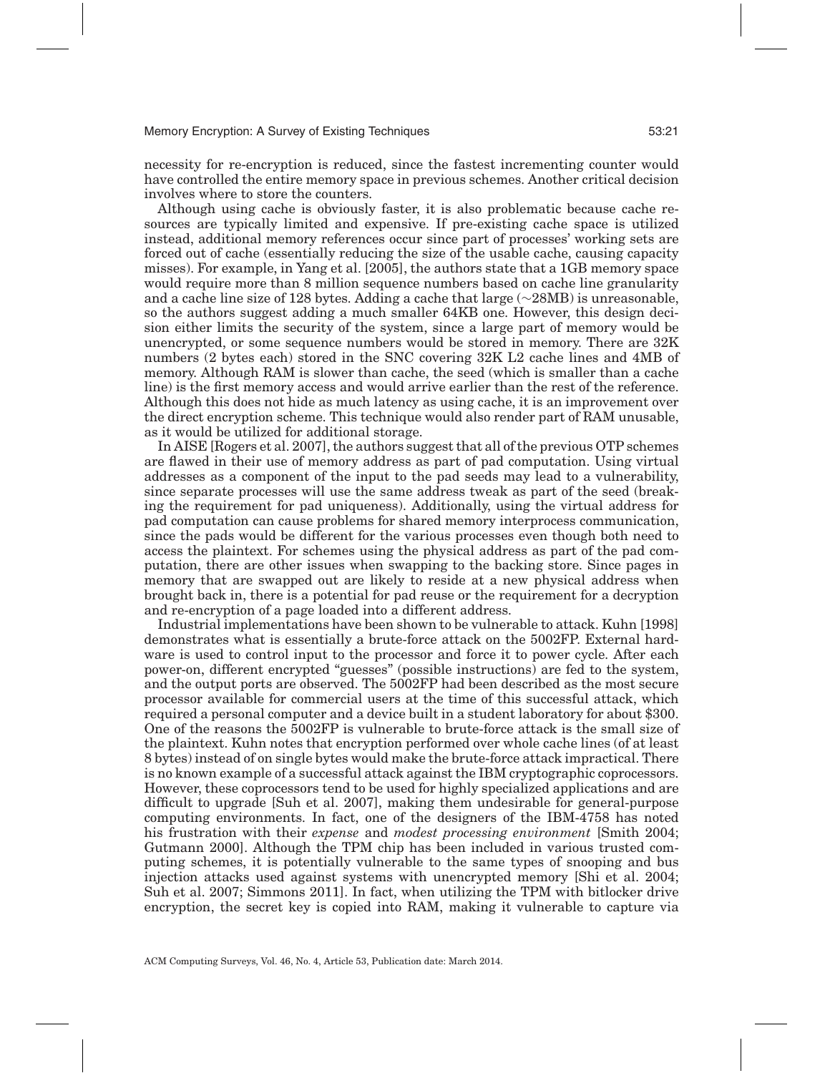necessity for re-encryption is reduced, since the fastest incrementing counter would have controlled the entire memory space in previous schemes. Another critical decision involves where to store the counters.

Although using cache is obviously faster, it is also problematic because cache resources are typically limited and expensive. If pre-existing cache space is utilized instead, additional memory references occur since part of processes' working sets are forced out of cache (essentially reducing the size of the usable cache, causing capacity misses). For example, in [Yang et al. \[2005\],](#page-25-1) the authors state that a 1GB memory space would require more than 8 million sequence numbers based on cache line granularity and a cache line size of 128 bytes. Adding a cache that large (∼28MB) is unreasonable, so the authors suggest adding a much smaller 64KB one. However, this design decision either limits the security of the system, since a large part of memory would be unencrypted, or some sequence numbers would be stored in memory. There are 32K numbers (2 bytes each) stored in the SNC covering 32K L2 cache lines and 4MB of memory. Although RAM is slower than cache, the seed (which is smaller than a cache line) is the first memory access and would arrive earlier than the rest of the reference. Although this does not hide as much latency as using cache, it is an improvement over the direct encryption scheme. This technique would also render part of RAM unusable, as it would be utilized for additional storage.

In AISE [\[Rogers et al. 2007\]](#page-24-10), the authors suggest that all of the previous OTP schemes are flawed in their use of memory address as part of pad computation. Using virtual addresses as a component of the input to the pad seeds may lead to a vulnerability, since separate processes will use the same address tweak as part of the seed (breaking the requirement for pad uniqueness). Additionally, using the virtual address for pad computation can cause problems for shared memory interprocess communication, since the pads would be different for the various processes even though both need to access the plaintext. For schemes using the physical address as part of the pad computation, there are other issues when swapping to the backing store. Since pages in memory that are swapped out are likely to reside at a new physical address when brought back in, there is a potential for pad reuse or the requirement for a decryption and re-encryption of a page loaded into a different address.

Industrial implementations have been shown to be vulnerable to attack. Kuhn [1998] demonstrates what is essentially a brute-force attack on the 5002FP. External hardware is used to control input to the processor and force it to power cycle. After each power-on, different encrypted "guesses" (possible instructions) are fed to the system, and the output ports are observed. The 5002FP had been described as the most secure processor available for commercial users at the time of this successful attack, which required a personal computer and a device built in a student laboratory for about \$300. One of the reasons the 5002FP is vulnerable to brute-force attack is the small size of the plaintext. Kuhn notes that encryption performed over whole cache lines (of at least 8 bytes) instead of on single bytes would make the brute-force attack impractical. There is no known example of a successful attack against the IBM cryptographic coprocessors. However, these coprocessors tend to be used for highly specialized applications and are difficult to upgrade [\[Suh et al. 2007\]](#page-25-0), making them undesirable for general-purpose computing environments. In fact, one of the designers of the IBM-4758 has noted his frustration with their *expense* and *modest processing environment* [Smith 2004; [Gutmann 2000\]](#page-23-20). Although the TPM chip has been included in various trusted computing schemes, it is potentially vulnerable to the same types of snooping and bus injection attacks used against systems with unencrypted memory [\[Shi et al. 2004;](#page-24-9) [Suh et al. 2007;](#page-25-0) [Simmons 2011\]](#page-24-17). In fact, when utilizing the TPM with bitlocker drive encryption, the secret key is copied into RAM, making it vulnerable to capture via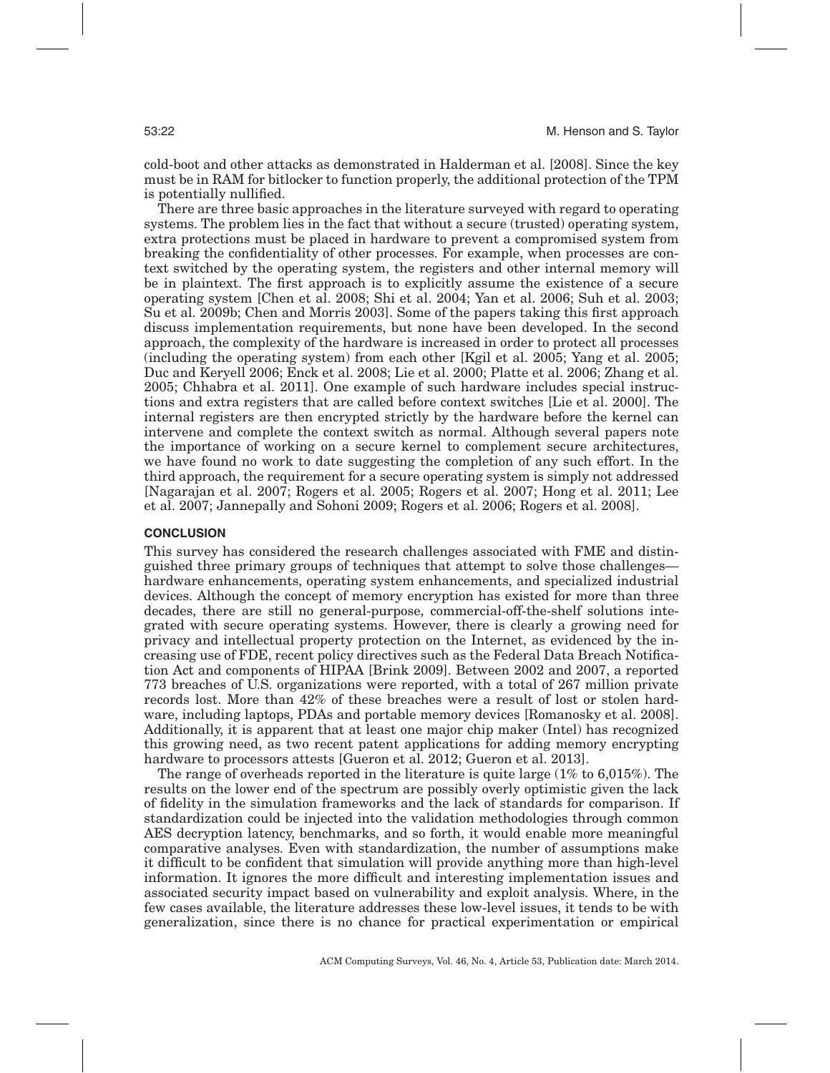cold-boot and other attacks as demonstrated in [Halderman et al. \[2008\].](#page-23-0) Since the key must be in RAM for bitlocker to function properly, the additional protection of the TPM is potentially nullified.

There are three basic approaches in the literature surveyed with regard to operating systems. The problem lies in the fact that without a secure (trusted) operating system, extra protections must be placed in hardware to prevent a compromised system from breaking the confidentiality of other processes. For example, when processes are context switched by the operating system, the registers and other internal memory will be in plaintext. The first approach is to explicitly assume the existence of a secure operating system [\[Chen et al. 2008;](#page-22-11) [Shi et al. 2004;](#page-24-9) [Yan et al. 2006;](#page-25-2) [Suh et al. 2003;](#page-24-8) Su et al. 2009b; [Chen and Morris 2003\]](#page-22-12). Some of the papers taking this first approach discuss implementation requirements, but none have been developed. In the second approach, the complexity of the hardware is increased in order to protect all processes (including the operating system) from each other [\[Kgil et al. 2005;](#page-23-8) [Yang et al. 2005;](#page-25-1) [Duc and Keryell 2006;](#page-23-5) [Enck et al. 2008;](#page-23-3) [Lie et al. 2000;](#page-24-6) [Platte et al. 2006;](#page-24-21) [Zhang et al.](#page-25-4) [2005;](#page-25-4) [Chhabra et al. 2011\]](#page-22-10). One example of such hardware includes special instructions and extra registers that are called before context switches [\[Lie et al. 2000\]](#page-24-6). The internal registers are then encrypted strictly by the hardware before the kernel can intervene and complete the context switch as normal. Although several papers note the importance of working on a secure kernel to complement secure architectures, we have found no work to date suggesting the completion of any such effort. In the third approach, the requirement for a secure operating system is simply not addressed [\[Nagarajan et al. 2007;](#page-24-11) [Rogers et al. 2005;](#page-24-7) [Rogers et al. 2007;](#page-24-10) [Hong et al. 2011;](#page-23-10) [Lee](#page-24-13) [et al. 2007;](#page-24-13) [Jannepally and Sohoni 2009;](#page-23-12) [Rogers et al. 2006;](#page-24-14) [Rogers et al. 2008\]](#page-24-12).

# **CONCLUSION**

This survey has considered the research challenges associated with FME and distinguished three primary groups of techniques that attempt to solve those challenges hardware enhancements, operating system enhancements, and specialized industrial devices. Although the concept of memory encryption has existed for more than three decades, there are still no general-purpose, commercial-off-the-shelf solutions integrated with secure operating systems. However, there is clearly a growing need for privacy and intellectual property protection on the Internet, as evidenced by the increasing use of FDE, recent policy directives such as the Federal Data Breach Notification Act and components of HIPAA [\[Brink 2009\]](#page-22-0). Between 2002 and 2007, a reported 773 breaches of U.S. organizations were reported, with a total of 267 million private records lost. More than 42% of these breaches were a result of lost or stolen hardware, including laptops, PDAs and portable memory devices [\[Romanosky et al. 2008\]](#page-24-22). Additionally, it is apparent that at least one major chip maker (Intel) has recognized this growing need, as two recent patent applications for adding memory encrypting hardware to processors attests [\[Gueron et al. 2012;](#page-23-17) [Gueron et al. 2013\]](#page-23-18).

The range of overheads reported in the literature is quite large (1% to 6,015%). The results on the lower end of the spectrum are possibly overly optimistic given the lack of fidelity in the simulation frameworks and the lack of standards for comparison. If standardization could be injected into the validation methodologies through common AES decryption latency, benchmarks, and so forth, it would enable more meaningful comparative analyses. Even with standardization, the number of assumptions make it difficult to be confident that simulation will provide anything more than high-level information. It ignores the more difficult and interesting implementation issues and associated security impact based on vulnerability and exploit analysis. Where, in the few cases available, the literature addresses these low-level issues, it tends to be with generalization, since there is no chance for practical experimentation or empirical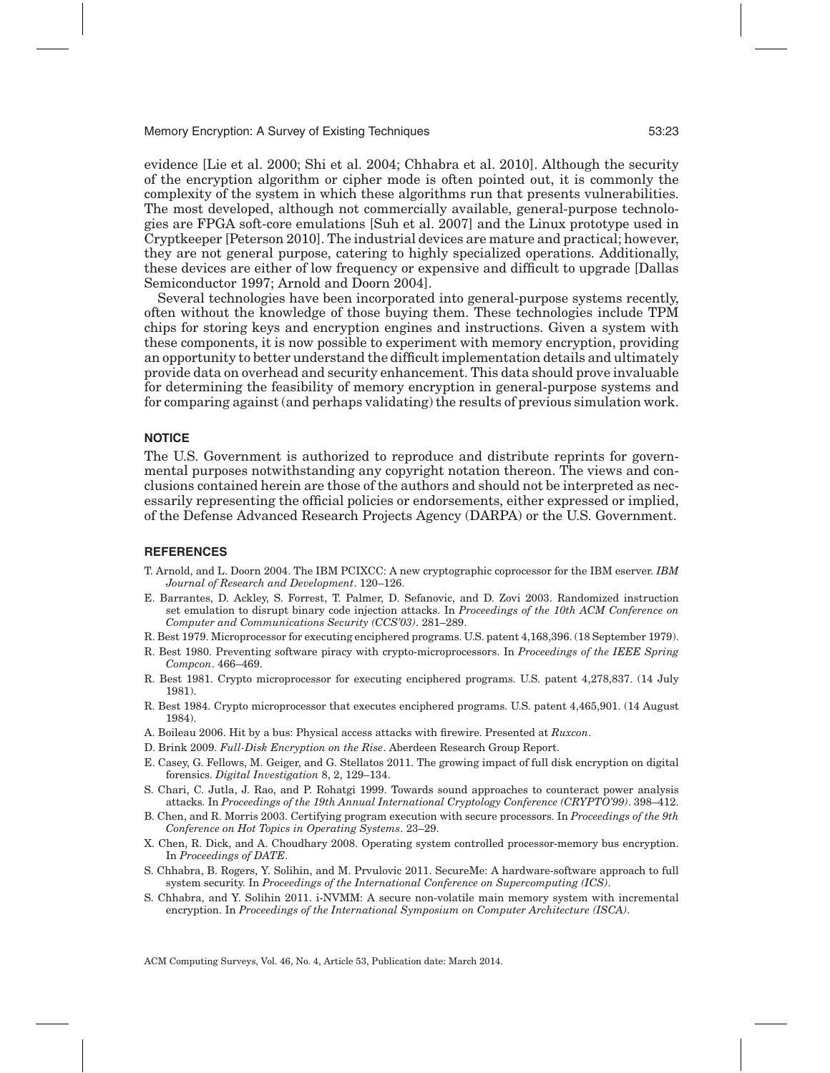Memory Encryption: A Survey of Existing Techniques 63:23

evidence [\[Lie et al. 2000;](#page-24-6) [Shi et al. 2004;](#page-24-9) [Chhabra et al. 2010\]](#page-23-11). Although the security of the encryption algorithm or cipher mode is often pointed out, it is commonly the complexity of the system in which these algorithms run that presents vulnerabilities. The most developed, although not commercially available, general-purpose technologies are FPGA soft-core emulations [\[Suh et al. 2007\]](#page-25-0) and the Linux prototype used in Cryptkeeper [\[Peterson 2010\]](#page-24-15). The industrial devices are mature and practical; however, they are not general purpose, catering to highly specialized operations. Additionally, these devices are either of low frequency or expensive and difficult to upgrade [\[Dallas](#page-23-6) [Semiconductor 1997;](#page-23-6) [Arnold and Doorn 2004\]](#page-22-13).

Several technologies have been incorporated into general-purpose systems recently, often without the knowledge of those buying them. These technologies include TPM chips for storing keys and encryption engines and instructions. Given a system with these components, it is now possible to experiment with memory encryption, providing an opportunity to better understand the difficult implementation details and ultimately provide data on overhead and security enhancement. This data should prove invaluable for determining the feasibility of memory encryption in general-purpose systems and for comparing against (and perhaps validating) the results of previous simulation work.

# **NOTICE**

The U.S. Government is authorized to reproduce and distribute reprints for governmental purposes notwithstanding any copyright notation thereon. The views and conclusions contained herein are those of the authors and should not be interpreted as necessarily representing the official policies or endorsements, either expressed or implied, of the Defense Advanced Research Projects Agency (DARPA) or the U.S. Government.

# **REFERENCES**

- <span id="page-22-13"></span>T. Arnold, and L. Doorn 2004. The IBM PCIXCC: A new cryptographic coprocessor for the IBM eserver. *IBM Journal of Research and Development*. 120–126.
- <span id="page-22-5"></span>E. Barrantes, D. Ackley, S. Forrest, T. Palmer, D. Sefanovic, and D. Zovi 2003. Randomized instruction set emulation to disrupt binary code injection attacks. In *Proceedings of the 10th ACM Conference on Computer and Communications Security (CCS'03)*. 281–289.
- <span id="page-22-6"></span>R. Best 1979. Microprocessor for executing enciphered programs. U.S. patent 4,168,396. (18 September 1979).
- <span id="page-22-9"></span>R. Best 1980. Preventing software piracy with crypto-microprocessors. In *Proceedings of the IEEE Spring Compcon*. 466–469.
- <span id="page-22-7"></span>R. Best 1981. Crypto microprocessor for executing enciphered programs. U.S. patent 4,278,837. (14 July 1981).
- <span id="page-22-8"></span>R. Best 1984. Crypto microprocessor that executes enciphered programs. U.S. patent 4,465,901. (14 August 1984).
- <span id="page-22-2"></span>A. Boileau 2006. Hit by a bus: Physical access attacks with firewire. Presented at *Ruxcon*.
- <span id="page-22-0"></span>D. Brink 2009. *Full-Disk Encryption on the Rise*. Aberdeen Research Group Report.
- <span id="page-22-4"></span>E. Casey, G. Fellows, M. Geiger, and G. Stellatos 2011. The growing impact of full disk encryption on digital forensics. *Digital Investigation* 8, 2, 129–134.
- <span id="page-22-3"></span>S. Chari, C. Jutla, J. Rao, and P. Rohatgi 1999. Towards sound approaches to counteract power analysis attacks. In *Proceedings of the 19th Annual International Cryptology Conference (CRYPTO'99)*. 398–412.
- <span id="page-22-12"></span>B. Chen, and R. Morris 2003. Certifying program execution with secure processors. In *Proceedings of the 9th Conference on Hot Topics in Operating Systems*. 23–29.
- <span id="page-22-11"></span>X. Chen, R. Dick, and A. Choudhary 2008. Operating system controlled processor-memory bus encryption. In *Proceedings of DATE*.
- <span id="page-22-10"></span>S. Chhabra, B. Rogers, Y. Solihin, and M. Prvulovic 2011. SecureMe: A hardware-software approach to full system security. In *Proceedings of the International Conference on Supercomputing (ICS)*.
- <span id="page-22-1"></span>S. Chhabra, and Y. Solihin 2011. i-NVMM: A secure non-volatile main memory system with incremental encryption. In *Proceedings of the International Symposium on Computer Architecture (ISCA)*.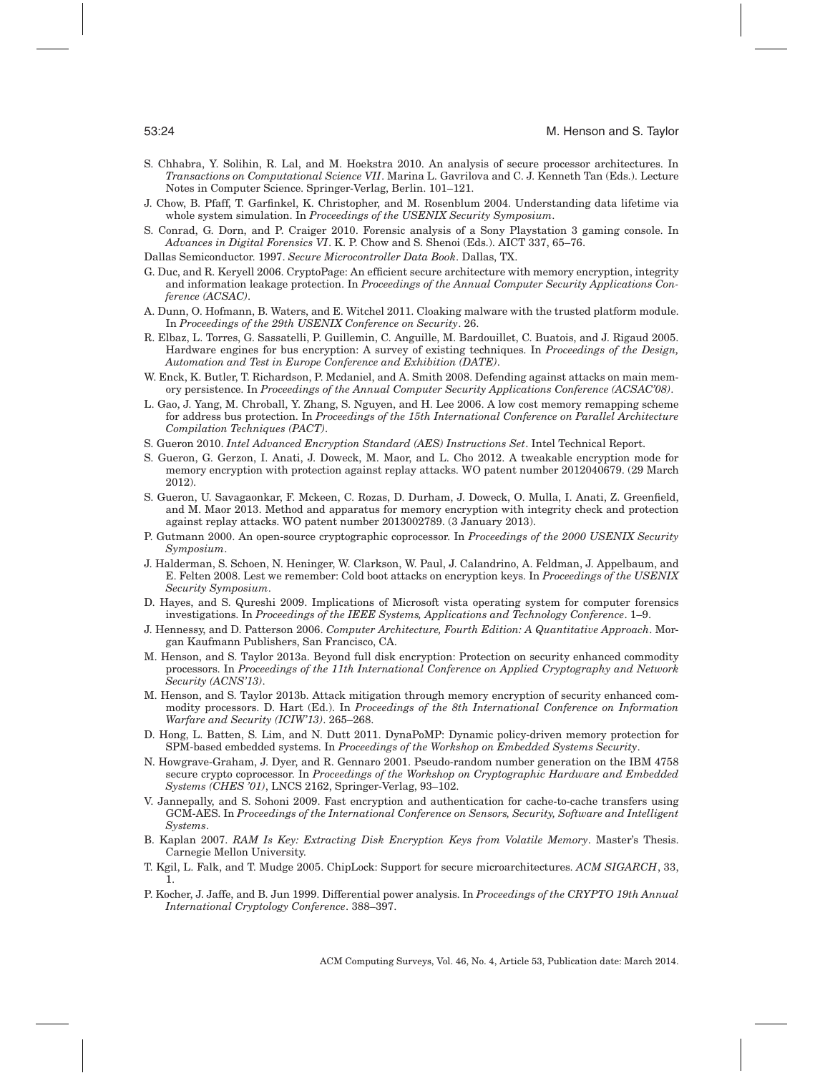- <span id="page-23-11"></span>S. Chhabra, Y. Solihin, R. Lal, and M. Hoekstra 2010. An analysis of secure processor architectures. In *Transactions on Computational Science VII*. Marina L. Gavrilova and C. J. Kenneth Tan (Eds.). Lecture Notes in Computer Science. Springer-Verlag, Berlin. 101–121.
- <span id="page-23-1"></span>J. Chow, B. Pfaff, T. Garfinkel, K. Christopher, and M. Rosenblum 2004. Understanding data lifetime via whole system simulation. In *Proceedings of the USENIX Security Symposium*.
- <span id="page-23-15"></span>S. Conrad, G. Dorn, and P. Craiger 2010. Forensic analysis of a Sony Playstation 3 gaming console. In *Advances in Digital Forensics VI*. K. P. Chow and S. Shenoi (Eds.). AICT 337, 65–76.
- <span id="page-23-6"></span>Dallas Semiconductor. 1997. *Secure Microcontroller Data Book*. Dallas, TX.
- <span id="page-23-5"></span>G. Duc, and R. Keryell 2006. CryptoPage: An efficient secure architecture with memory encryption, integrity and information leakage protection. In *Proceedings of the Annual Computer Security Applications Conference (ACSAC)*.
- <span id="page-23-16"></span>A. Dunn, O. Hofmann, B. Waters, and E. Witchel 2011. Cloaking malware with the trusted platform module. In *Proceedings of the 29th USENIX Conference on Security*. 26.
- R. Elbaz, L. Torres, G. Sassatelli, P. Guillemin, C. Anguille, M. Bardouillet, C. Buatois, and J. Rigaud 2005. Hardware engines for bus encryption: A survey of existing techniques. In *Proceedings of the Design, Automation and Test in Europe Conference and Exhibition (DATE)*.
- <span id="page-23-3"></span>W. Enck, K. Butler, T. Richardson, P. Mcdaniel, and A. Smith 2008. Defending against attacks on main memory persistence. In *Proceedings of the Annual Computer Security Applications Conference (ACSAC'08)*.
- <span id="page-23-13"></span>L. Gao, J. Yang, M. Chroball, Y. Zhang, S. Nguyen, and H. Lee 2006. A low cost memory remapping scheme for address bus protection. In *Proceedings of the 15th International Conference on Parallel Architecture Compilation Techniques (PACT)*.
- <span id="page-23-19"></span>S. Gueron 2010. *Intel Advanced Encryption Standard (AES) Instructions Set*. Intel Technical Report.
- <span id="page-23-17"></span>S. Gueron, G. Gerzon, I. Anati, J. Doweck, M. Maor, and L. Cho 2012. A tweakable encryption mode for memory encryption with protection against replay attacks. WO patent number 2012040679. (29 March 2012).
- <span id="page-23-18"></span>S. Gueron, U. Savagaonkar, F. Mckeen, C. Rozas, D. Durham, J. Doweck, O. Mulla, I. Anati, Z. Greenfield, and M. Maor 2013. Method and apparatus for memory encryption with integrity check and protection against replay attacks. WO patent number 2013002789. (3 January 2013).
- <span id="page-23-20"></span>P. Gutmann 2000. An open-source cryptographic coprocessor. In *Proceedings of the 2000 USENIX Security Symposium*.
- <span id="page-23-0"></span>J. Halderman, S. Schoen, N. Heninger, W. Clarkson, W. Paul, J. Calandrino, A. Feldman, J. Appelbaum, and E. Felten 2008. Lest we remember: Cold boot attacks on encryption keys. In *Proceedings of the USENIX Security Symposium*.
- <span id="page-23-4"></span>D. Hayes, and S. Qureshi 2009. Implications of Microsoft vista operating system for computer forensics investigations. In *Proceedings of the IEEE Systems, Applications and Technology Conference*. 1–9.
- <span id="page-23-9"></span>J. Hennessy, and D. Patterson 2006. *Computer Architecture, Fourth Edition: A Quantitative Approach*. Morgan Kaufmann Publishers, San Francisco, CA.
- M. Henson, and S. Taylor 2013a. Beyond full disk encryption: Protection on security enhanced commodity processors. In *Proceedings of the 11th International Conference on Applied Cryptography and Network Security (ACNS'13)*.
- M. Henson, and S. Taylor 2013b. Attack mitigation through memory encryption of security enhanced commodity processors. D. Hart (Ed.). In *Proceedings of the 8th International Conference on Information Warfare and Security (ICIW'13)*. 265–268.
- <span id="page-23-10"></span>D. Hong, L. Batten, S. Lim, and N. Dutt 2011. DynaPoMP: Dynamic policy-driven memory protection for SPM-based embedded systems. In *Proceedings of the Workshop on Embedded Systems Security*.
- <span id="page-23-14"></span>N. Howgrave-Graham, J. Dyer, and R. Gennaro 2001. Pseudo-random number generation on the IBM 4758 secure crypto coprocessor. In *Proceedings of the Workshop on Cryptographic Hardware and Embedded Systems (CHES '01)*, LNCS 2162, Springer-Verlag, 93–102.
- <span id="page-23-12"></span>V. Jannepally, and S. Sohoni 2009. Fast encryption and authentication for cache-to-cache transfers using GCM-AES. In *Proceedings of the International Conference on Sensors, Security, Software and Intelligent Systems*.
- <span id="page-23-2"></span>B. Kaplan 2007. *RAM Is Key: Extracting Disk Encryption Keys from Volatile Memory*. Master's Thesis. Carnegie Mellon University.
- <span id="page-23-8"></span>T. Kgil, L. Falk, and T. Mudge 2005. ChipLock: Support for secure microarchitectures. *ACM SIGARCH*, 33, 1.
- <span id="page-23-7"></span>P. Kocher, J. Jaffe, and B. Jun 1999. Differential power analysis. In *Proceedings of the CRYPTO 19th Annual International Cryptology Conference*. 388–397.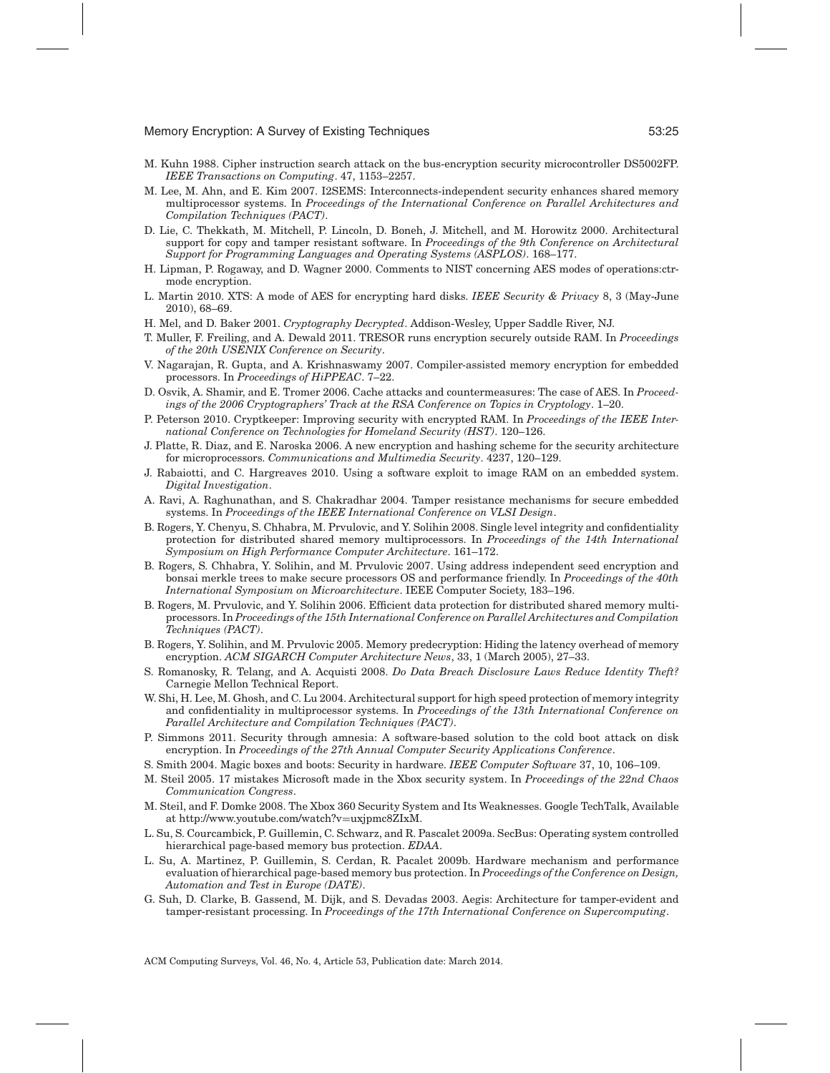#### Memory Encryption: A Survey of Existing Techniques 53:25

- M. Kuhn 1988. Cipher instruction search attack on the bus-encryption security microcontroller DS5002FP. *IEEE Transactions on Computing*. 47, 1153–2257.
- <span id="page-24-13"></span>M. Lee, M. Ahn, and E. Kim 2007. I2SEMS: Interconnects-independent security enhances shared memory multiprocessor systems. In *Proceedings of the International Conference on Parallel Architectures and Compilation Techniques (PACT)*.
- <span id="page-24-6"></span>D. Lie, C. Thekkath, M. Mitchell, P. Lincoln, D. Boneh, J. Mitchell, and M. Horowitz 2000. Architectural support for copy and tamper resistant software. In *Proceedings of the 9th Conference on Architectural Support for Programming Languages and Operating Systems (ASPLOS)*. 168–177.
- <span id="page-24-20"></span>H. Lipman, P. Rogaway, and D. Wagner 2000. Comments to NIST concerning AES modes of operations:ctrmode encryption.
- <span id="page-24-18"></span>L. Martin 2010. XTS: A mode of AES for encrypting hard disks. *IEEE Security & Privacy* 8, 3 (May-June 2010), 68–69.
- <span id="page-24-0"></span>H. Mel, and D. Baker 2001. *Cryptography Decrypted*. Addison-Wesley, Upper Saddle River, NJ.
- <span id="page-24-5"></span>T. Muller, F. Freiling, and A. Dewald 2011. TRESOR runs encryption securely outside RAM. In *Proceedings of the 20th USENIX Conference on Security*.
- <span id="page-24-11"></span>V. Nagarajan, R. Gupta, and A. Krishnaswamy 2007. Compiler-assisted memory encryption for embedded processors. In *Proceedings of HiPPEAC*. 7–22.
- <span id="page-24-4"></span>D. Osvik, A. Shamir, and E. Tromer 2006. Cache attacks and countermeasures: The case of AES. In *Proceedings of the 2006 Cryptographers' Track at the RSA Conference on Topics in Cryptology*. 1–20.
- <span id="page-24-15"></span>P. Peterson 2010. Cryptkeeper: Improving security with encrypted RAM. In *Proceedings of the IEEE International Conference on Technologies for Homeland Security (HST)*. 120–126.
- <span id="page-24-21"></span>J. Platte, R. Diaz, and E. Naroska 2006. A new encryption and hashing scheme for the security architecture for microprocessors. *Communications and Multimedia Security*. 4237, 120–129.
- <span id="page-24-1"></span>J. Rabaiotti, and C. Hargreaves 2010. Using a software exploit to image RAM on an embedded system. *Digital Investigation*.
- <span id="page-24-3"></span>A. Ravi, A. Raghunathan, and S. Chakradhar 2004. Tamper resistance mechanisms for secure embedded systems. In *Proceedings of the IEEE International Conference on VLSI Design*.
- <span id="page-24-12"></span>B. Rogers, Y. Chenyu, S. Chhabra, M. Prvulovic, and Y. Solihin 2008. Single level integrity and confidentiality protection for distributed shared memory multiprocessors. In *Proceedings of the 14th International Symposium on High Performance Computer Architecture*. 161–172.
- <span id="page-24-10"></span>B. Rogers, S. Chhabra, Y. Solihin, and M. Prvulovic 2007. Using address independent seed encryption and bonsai merkle trees to make secure processors OS and performance friendly. In *Proceedings of the 40th International Symposium on Microarchitecture*. IEEE Computer Society, 183–196.
- <span id="page-24-14"></span>B. Rogers, M. Prvulovic, and Y. Solihin 2006. Efficient data protection for distributed shared memory multiprocessors. In *Proceedings of the 15th International Conference on Parallel Architectures and Compilation Techniques (PACT)*.
- <span id="page-24-7"></span>B. Rogers, Y. Solihin, and M. Prvulovic 2005. Memory predecryption: Hiding the latency overhead of memory encryption. *ACM SIGARCH Computer Architecture News*, 33, 1 (March 2005), 27–33.
- <span id="page-24-22"></span>S. Romanosky, R. Telang, and A. Acquisti 2008. *Do Data Breach Disclosure Laws Reduce Identity Theft?* Carnegie Mellon Technical Report.
- <span id="page-24-9"></span>W. Shi, H. Lee, M. Ghosh, and C. Lu 2004. Architectural support for high speed protection of memory integrity and confidentiality in multiprocessor systems. In *Proceedings of the 13th International Conference on Parallel Architecture and Compilation Techniques (PACT)*.
- <span id="page-24-17"></span>P. Simmons 2011. Security through amnesia: A software-based solution to the cold boot attack on disk encryption. In *Proceedings of the 27th Annual Computer Security Applications Conference*.
- <span id="page-24-19"></span>S. Smith 2004. Magic boxes and boots: Security in hardware. *IEEE Computer Software* 37, 10, 106–109.
- <span id="page-24-2"></span>M. Steil 2005. 17 mistakes Microsoft made in the Xbox security system. In *Proceedings of the 22nd Chaos Communication Congress*.
- <span id="page-24-16"></span>M. Steil, and F. Domke 2008. The Xbox 360 Security System and Its Weaknesses. Google TechTalk, Available at [http://www.youtube.com/watch?v](http://www.youtube.com/watch?vprotect $
elax $=$$uxjpmc8ZIxM)=uxjpmc8ZIxM.
- L. Su, S. Courcambick, P. Guillemin, C. Schwarz, and R. Pascalet 2009a. SecBus: Operating system controlled hierarchical page-based memory bus protection. *EDAA*.
- L. Su, A. Martinez, P. Guillemin, S. Cerdan, R. Pacalet 2009b. Hardware mechanism and performance evaluation of hierarchical page-based memory bus protection. In *Proceedings of the Conference on Design, Automation and Test in Europe (DATE)*.
- <span id="page-24-8"></span>G. Suh, D. Clarke, B. Gassend, M. Dijk, and S. Devadas 2003. Aegis: Architecture for tamper-evident and tamper-resistant processing. In *Proceedings of the 17th International Conference on Supercomputing*.